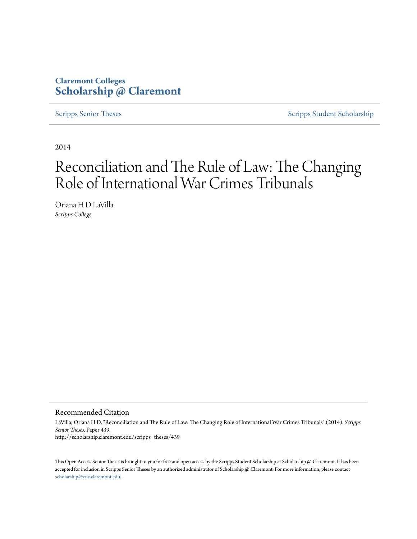### **Claremont Colleges [Scholarship @ Claremont](http://scholarship.claremont.edu)**

[Scripps Senior Theses](http://scholarship.claremont.edu/scripps_theses) [Scripps Student Scholarship](http://scholarship.claremont.edu/scripps_student)

2014

# Reconciliation and The Rule of Law: The Changing Role of International War Crimes Tribunals

Oriana H D LaVilla *Scripps College*

Recommended Citation

LaVilla, Oriana H D, "Reconciliation and The Rule of Law: The Changing Role of International War Crimes Tribunals" (2014). *Scripps Senior Theses.* Paper 439. http://scholarship.claremont.edu/scripps\_theses/439

This Open Access Senior Thesis is brought to you for free and open access by the Scripps Student Scholarship at Scholarship @ Claremont. It has been accepted for inclusion in Scripps Senior Theses by an authorized administrator of Scholarship @ Claremont. For more information, please contact [scholarship@cuc.claremont.edu.](mailto:scholarship@cuc.claremont.edu)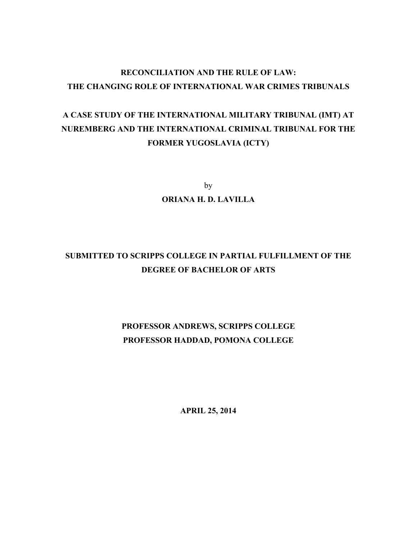## **RECONCILIATION AND THE RULE OF LAW: THE CHANGING ROLE OF INTERNATIONAL WAR CRIMES TRIBUNALS**

# **A CASE STUDY OF THE INTERNATIONAL MILITARY TRIBUNAL (IMT) AT NUREMBERG AND THE INTERNATIONAL CRIMINAL TRIBUNAL FOR THE FORMER YUGOSLAVIA (ICTY)**

by

**ORIANA H. D. LAVILLA**

# **SUBMITTED TO SCRIPPS COLLEGE IN PARTIAL FULFILLMENT OF THE DEGREE OF BACHELOR OF ARTS**

# **PROFESSOR ANDREWS, SCRIPPS COLLEGE PROFESSOR HADDAD, POMONA COLLEGE**

**APRIL 25, 2014**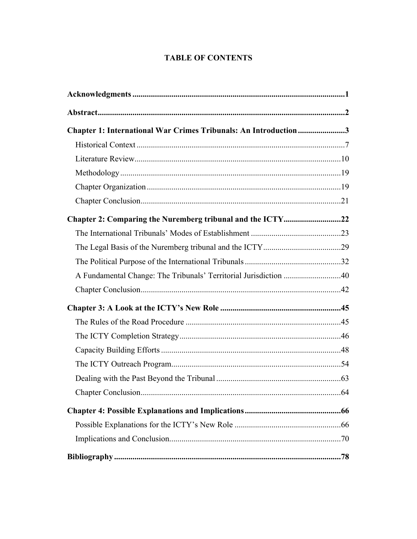### **TABLE OF CONTENTS**

| Chapter 1: International War Crimes Tribunals: An Introduction3  |  |
|------------------------------------------------------------------|--|
|                                                                  |  |
|                                                                  |  |
|                                                                  |  |
|                                                                  |  |
|                                                                  |  |
| Chapter 2: Comparing the Nuremberg tribunal and the ICTY22       |  |
|                                                                  |  |
|                                                                  |  |
|                                                                  |  |
| A Fundamental Change: The Tribunals' Territorial Jurisdiction 40 |  |
|                                                                  |  |
|                                                                  |  |
|                                                                  |  |
|                                                                  |  |
|                                                                  |  |
|                                                                  |  |
|                                                                  |  |
|                                                                  |  |
|                                                                  |  |
|                                                                  |  |
|                                                                  |  |
|                                                                  |  |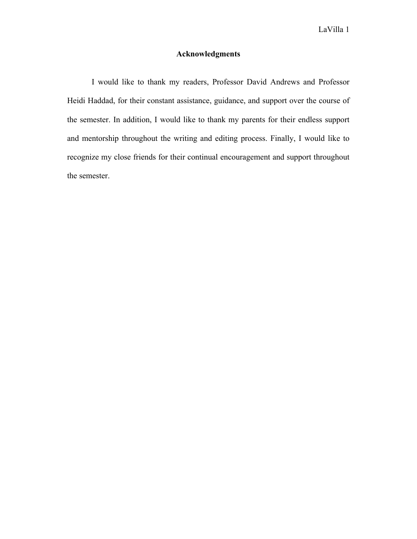### **Acknowledgments**

I would like to thank my readers, Professor David Andrews and Professor Heidi Haddad, for their constant assistance, guidance, and support over the course of the semester. In addition, I would like to thank my parents for their endless support and mentorship throughout the writing and editing process. Finally, I would like to recognize my close friends for their continual encouragement and support throughout the semester.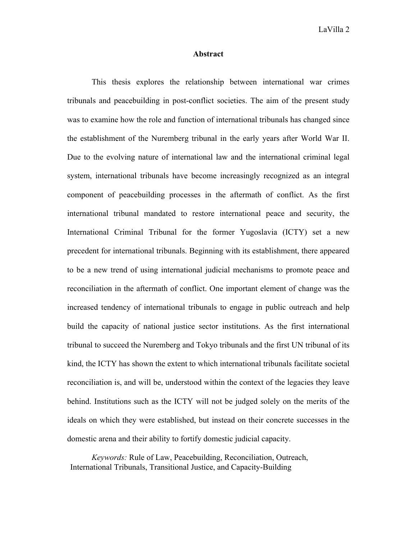#### **Abstract**

This thesis explores the relationship between international war crimes tribunals and peacebuilding in post-conflict societies. The aim of the present study was to examine how the role and function of international tribunals has changed since the establishment of the Nuremberg tribunal in the early years after World War II. Due to the evolving nature of international law and the international criminal legal system, international tribunals have become increasingly recognized as an integral component of peacebuilding processes in the aftermath of conflict. As the first international tribunal mandated to restore international peace and security, the International Criminal Tribunal for the former Yugoslavia (ICTY) set a new precedent for international tribunals. Beginning with its establishment, there appeared to be a new trend of using international judicial mechanisms to promote peace and reconciliation in the aftermath of conflict. One important element of change was the increased tendency of international tribunals to engage in public outreach and help build the capacity of national justice sector institutions. As the first international tribunal to succeed the Nuremberg and Tokyo tribunals and the first UN tribunal of its kind, the ICTY has shown the extent to which international tribunals facilitate societal reconciliation is, and will be, understood within the context of the legacies they leave behind. Institutions such as the ICTY will not be judged solely on the merits of the ideals on which they were established, but instead on their concrete successes in the domestic arena and their ability to fortify domestic judicial capacity.

*Keywords:* Rule of Law, Peacebuilding, Reconciliation, Outreach, International Tribunals, Transitional Justice, and Capacity-Building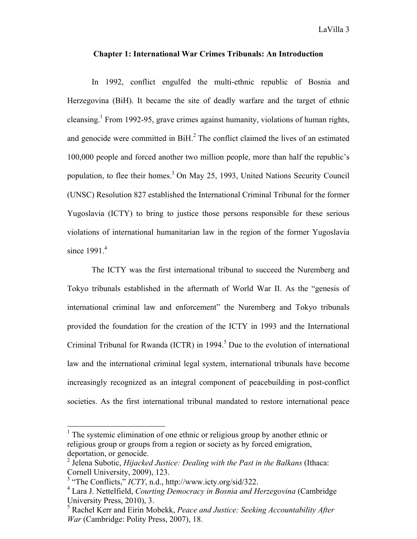#### **Chapter 1: International War Crimes Tribunals: An Introduction**

In 1992, conflict engulfed the multi-ethnic republic of Bosnia and Herzegovina (BiH). It became the site of deadly warfare and the target of ethnic cleansing. <sup>1</sup> From 1992-95, grave crimes against humanity, violations of human rights, and genocide were committed in  $\text{BiH}$ .<sup>2</sup> The conflict claimed the lives of an estimated 100,000 people and forced another two million people, more than half the republic's population, to flee their homes.<sup>3</sup> On May 25, 1993, United Nations Security Council (UNSC) Resolution 827 established the International Criminal Tribunal for the former Yugoslavia (ICTY) to bring to justice those persons responsible for these serious violations of international humanitarian law in the region of the former Yugoslavia since 1991. 4

The ICTY was the first international tribunal to succeed the Nuremberg and Tokyo tribunals established in the aftermath of World War II. As the "genesis of international criminal law and enforcement" the Nuremberg and Tokyo tribunals provided the foundation for the creation of the ICTY in 1993 and the International Criminal Tribunal for Rwanda (ICTR) in  $1994<sup>5</sup>$  Due to the evolution of international law and the international criminal legal system, international tribunals have become increasingly recognized as an integral component of peacebuilding in post-conflict societies. As the first international tribunal mandated to restore international peace

 $<sup>1</sup>$  The systemic elimination of one ethnic or religious group by another ethnic or</sup> religious group or groups from a region or society as by forced emigration, deportation, or genocide.

<sup>2</sup> Jelena Subotic, *Hijacked Justice: Dealing with the Past in the Balkans* (Ithaca: Cornell University, 2009), 123.

<sup>3</sup> "The Conflicts," *ICTY*, n.d., http://www.icty.org/sid/322.

<sup>4</sup> Lara J. Nettelfield, *Courting Democracy in Bosnia and Herzegovina* (Cambridge University Press, 2010), 3.

<sup>5</sup> Rachel Kerr and Eirin Mobekk, *Peace and Justice: Seeking Accountability After War* (Cambridge: Polity Press, 2007), 18.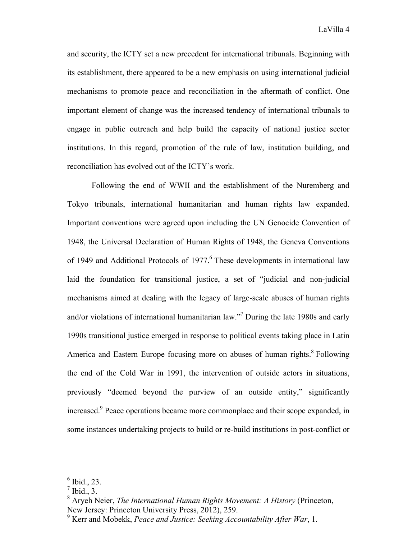and security, the ICTY set a new precedent for international tribunals. Beginning with its establishment, there appeared to be a new emphasis on using international judicial mechanisms to promote peace and reconciliation in the aftermath of conflict. One important element of change was the increased tendency of international tribunals to engage in public outreach and help build the capacity of national justice sector institutions. In this regard, promotion of the rule of law, institution building, and reconciliation has evolved out of the ICTY's work.

Following the end of WWII and the establishment of the Nuremberg and Tokyo tribunals, international humanitarian and human rights law expanded. Important conventions were agreed upon including the UN Genocide Convention of 1948, the Universal Declaration of Human Rights of 1948, the Geneva Conventions of 1949 and Additional Protocols of  $1977<sup>6</sup>$  These developments in international law laid the foundation for transitional justice, a set of "judicial and non-judicial mechanisms aimed at dealing with the legacy of large-scale abuses of human rights and/or violations of international humanitarian law."7 During the late 1980s and early 1990s transitional justice emerged in response to political events taking place in Latin America and Eastern Europe focusing more on abuses of human rights.<sup>8</sup> Following the end of the Cold War in 1991, the intervention of outside actors in situations, previously "deemed beyond the purview of an outside entity," significantly increased.<sup>9</sup> Peace operations became more commonplace and their scope expanded, in some instances undertaking projects to build or re-build institutions in post-conflict or

 $<sup>6</sup>$  Ibid., 23.</sup>

 $<sup>7</sup>$  Ibid., 3.</sup>

<sup>8</sup> Aryeh Neier, *The International Human Rights Movement: A History* (Princeton, New Jersey: Princeton University Press, 2012), 259.

<sup>9</sup> Kerr and Mobekk, *Peace and Justice: Seeking Accountability After War*, 1.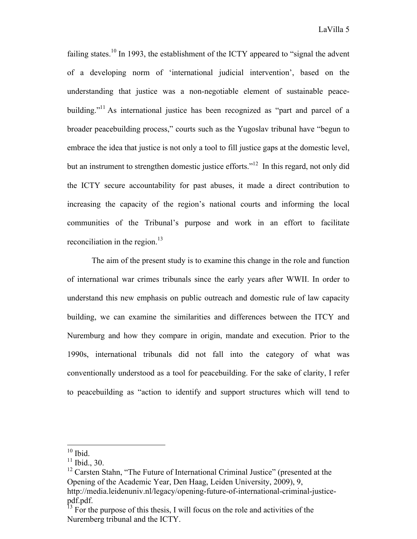failing states.<sup>10</sup> In 1993, the establishment of the ICTY appeared to "signal the advent" of a developing norm of 'international judicial intervention', based on the understanding that justice was a non-negotiable element of sustainable peacebuilding."<sup>11</sup> As international justice has been recognized as "part and parcel of a broader peacebuilding process," courts such as the Yugoslav tribunal have "begun to embrace the idea that justice is not only a tool to fill justice gaps at the domestic level, but an instrument to strengthen domestic justice efforts."<sup>12</sup> In this regard, not only did the ICTY secure accountability for past abuses, it made a direct contribution to increasing the capacity of the region's national courts and informing the local communities of the Tribunal's purpose and work in an effort to facilitate reconciliation in the region.<sup>13</sup>

The aim of the present study is to examine this change in the role and function of international war crimes tribunals since the early years after WWII. In order to understand this new emphasis on public outreach and domestic rule of law capacity building, we can examine the similarities and differences between the ITCY and Nuremburg and how they compare in origin, mandate and execution. Prior to the 1990s, international tribunals did not fall into the category of what was conventionally understood as a tool for peacebuilding. For the sake of clarity, I refer to peacebuilding as "action to identify and support structures which will tend to

 $10$  Ibid.

 $11$  Ibid., 30.

<sup>&</sup>lt;sup>12</sup> Carsten Stahn, "The Future of International Criminal Justice" (presented at the Opening of the Academic Year, Den Haag, Leiden University, 2009), 9, http://media.leidenuniv.nl/legacy/opening-future-of-international-criminal-justicepdf.pdf.

 $13$  For the purpose of this thesis, I will focus on the role and activities of the Nuremberg tribunal and the ICTY.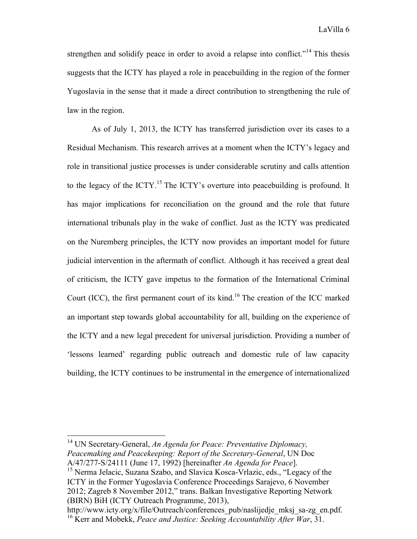strengthen and solidify peace in order to avoid a relapse into conflict."<sup>14</sup> This thesis suggests that the ICTY has played a role in peacebuilding in the region of the former Yugoslavia in the sense that it made a direct contribution to strengthening the rule of law in the region.

As of July 1, 2013, the ICTY has transferred jurisdiction over its cases to a Residual Mechanism. This research arrives at a moment when the ICTY's legacy and role in transitional justice processes is under considerable scrutiny and calls attention to the legacy of the ICTY.<sup>15</sup> The ICTY's overture into peacebuilding is profound. It has major implications for reconciliation on the ground and the role that future international tribunals play in the wake of conflict. Just as the ICTY was predicated on the Nuremberg principles, the ICTY now provides an important model for future judicial intervention in the aftermath of conflict. Although it has received a great deal of criticism, the ICTY gave impetus to the formation of the International Criminal Court (ICC), the first permanent court of its kind.16 The creation of the ICC marked an important step towards global accountability for all, building on the experience of the ICTY and a new legal precedent for universal jurisdiction. Providing a number of 'lessons learned' regarding public outreach and domestic rule of law capacity building, the ICTY continues to be instrumental in the emergence of internationalized

http://www.icty.org/x/file/Outreach/conferences\_pub/naslijedje\_mksj\_sa-zg\_en.pdf.

 <sup>14</sup> UN Secretary-General, *An Agenda for Peace: Preventative Diplomacy, Peacemaking and Peacekeeping: Report of the Secretary-General*, UN Doc A/47/277-S/24111 (June 17, 1992) [hereinafter *An Agenda for Peace*].

<sup>&</sup>lt;sup>15</sup> Nerma Jelacic, Suzana Szabo, and Slavica Kosca-Vrlazic, eds., "Legacy of the ICTY in the Former Yugoslavia Conference Proceedings Sarajevo, 6 November 2012; Zagreb 8 November 2012," trans. Balkan Investigative Reporting Network (BIRN) BiH (ICTY Outreach Programme, 2013),

<sup>16</sup> Kerr and Mobekk, *Peace and Justice: Seeking Accountability After War*, 31.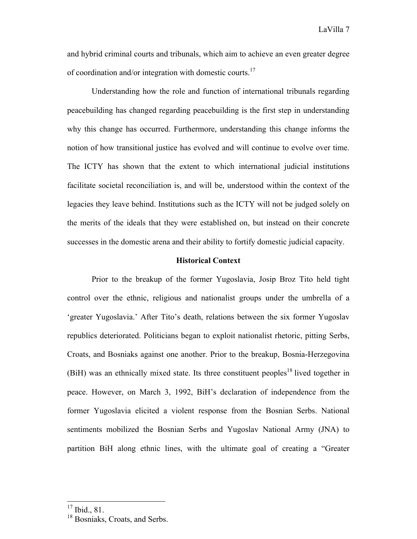and hybrid criminal courts and tribunals, which aim to achieve an even greater degree of coordination and/or integration with domestic courts.<sup>17</sup>

Understanding how the role and function of international tribunals regarding peacebuilding has changed regarding peacebuilding is the first step in understanding why this change has occurred. Furthermore, understanding this change informs the notion of how transitional justice has evolved and will continue to evolve over time. The ICTY has shown that the extent to which international judicial institutions facilitate societal reconciliation is, and will be, understood within the context of the legacies they leave behind. Institutions such as the ICTY will not be judged solely on the merits of the ideals that they were established on, but instead on their concrete successes in the domestic arena and their ability to fortify domestic judicial capacity.

#### **Historical Context**

Prior to the breakup of the former Yugoslavia, Josip Broz Tito held tight control over the ethnic, religious and nationalist groups under the umbrella of a 'greater Yugoslavia.' After Tito's death, relations between the six former Yugoslav republics deteriorated. Politicians began to exploit nationalist rhetoric, pitting Serbs, Croats, and Bosniaks against one another. Prior to the breakup, Bosnia-Herzegovina  $(BiH)$  was an ethnically mixed state. Its three constituent peoples<sup>18</sup> lived together in peace. However, on March 3, 1992, BiH's declaration of independence from the former Yugoslavia elicited a violent response from the Bosnian Serbs. National sentiments mobilized the Bosnian Serbs and Yugoslav National Army (JNA) to partition BiH along ethnic lines, with the ultimate goal of creating a "Greater

 <sup>17</sup> Ibid., 81.

<sup>&</sup>lt;sup>18</sup> Bosniaks, Croats, and Serbs.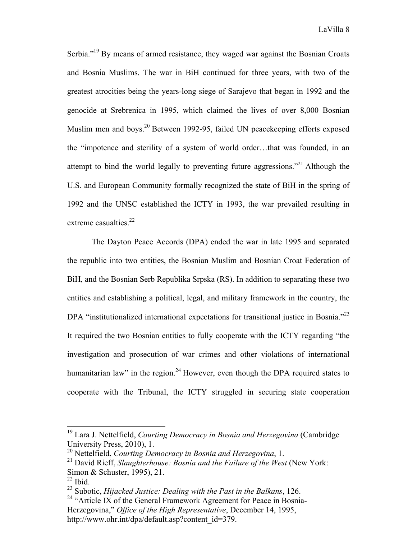Serbia."<sup>19</sup> By means of armed resistance, they waged war against the Bosnian Croats and Bosnia Muslims. The war in BiH continued for three years, with two of the greatest atrocities being the years-long siege of Sarajevo that began in 1992 and the genocide at Srebrenica in 1995, which claimed the lives of over 8,000 Bosnian Muslim men and boys.<sup>20</sup> Between 1992-95, failed UN peacekeeping efforts exposed the "impotence and sterility of a system of world order…that was founded, in an attempt to bind the world legally to preventing future aggressions."<sup>21</sup> Although the U.S. and European Community formally recognized the state of BiH in the spring of 1992 and the UNSC established the ICTY in 1993, the war prevailed resulting in extreme casualties.<sup>22</sup>

The Dayton Peace Accords (DPA) ended the war in late 1995 and separated the republic into two entities, the Bosnian Muslim and Bosnian Croat Federation of BiH, and the Bosnian Serb Republika Srpska (RS). In addition to separating these two entities and establishing a political, legal, and military framework in the country, the DPA "institutionalized international expectations for transitional justice in Bosnia."<sup>23</sup> It required the two Bosnian entities to fully cooperate with the ICTY regarding "the investigation and prosecution of war crimes and other violations of international humanitarian law" in the region.<sup>24</sup> However, even though the DPA required states to cooperate with the Tribunal, the ICTY struggled in securing state cooperation

 <sup>19</sup> Lara J. Nettelfield, *Courting Democracy in Bosnia and Herzegovina* (Cambridge University Press, 2010), 1.

<sup>20</sup> Nettelfield, *Courting Democracy in Bosnia and Herzegovina*, 1.

<sup>&</sup>lt;sup>21</sup> David Rieff, *Slaughterhouse: Bosnia and the Failure of the West* (New York: Simon & Schuster, 1995), 21.

 $22$  Ibid.

<sup>23</sup> Subotic, *Hijacked Justice: Dealing with the Past in the Balkans*, 126.

<sup>&</sup>lt;sup>24</sup> "Article IX of the General Framework Agreement for Peace in Bosnia-Herzegovina," *Office of the High Representative*, December 14, 1995, http://www.ohr.int/dpa/default.asp?content\_id=379.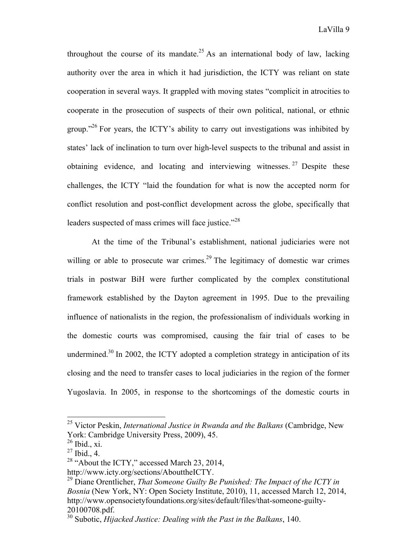throughout the course of its mandate.<sup>25</sup> As an international body of law, lacking authority over the area in which it had jurisdiction, the ICTY was reliant on state cooperation in several ways. It grappled with moving states "complicit in atrocities to cooperate in the prosecution of suspects of their own political, national, or ethnic group."<sup>26</sup> For years, the ICTY's ability to carry out investigations was inhibited by states' lack of inclination to turn over high-level suspects to the tribunal and assist in obtaining evidence, and locating and interviewing witnesses.  $27$  Despite these challenges, the ICTY "laid the foundation for what is now the accepted norm for conflict resolution and post-conflict development across the globe, specifically that leaders suspected of mass crimes will face justice."<sup>28</sup>

At the time of the Tribunal's establishment, national judiciaries were not willing or able to prosecute war crimes.<sup>29</sup> The legitimacy of domestic war crimes trials in postwar BiH were further complicated by the complex constitutional framework established by the Dayton agreement in 1995. Due to the prevailing influence of nationalists in the region, the professionalism of individuals working in the domestic courts was compromised, causing the fair trial of cases to be undermined.<sup>30</sup> In 2002, the ICTY adopted a completion strategy in anticipation of its closing and the need to transfer cases to local judiciaries in the region of the former Yugoslavia. In 2005, in response to the shortcomings of the domestic courts in

 <sup>25</sup> Victor Peskin, *International Justice in Rwanda and the Balkans* (Cambridge, New York: Cambridge University Press, 2009), 45.

 $^{26}$  Ibid., xi.

 $^{27}$  Ibid., 4.

<sup>&</sup>lt;sup>28</sup> "About the ICTY," accessed March 23, 2014,

http://www.icty.org/sections/AbouttheICTY.

<sup>29</sup> Diane Orentlicher, *That Someone Guilty Be Punished: The Impact of the ICTY in Bosnia* (New York, NY: Open Society Institute, 2010), 11, accessed March 12, 2014, http://www.opensocietyfoundations.org/sites/default/files/that-someone-guilty-20100708.pdf.

<sup>30</sup> Subotic, *Hijacked Justice: Dealing with the Past in the Balkans*, 140.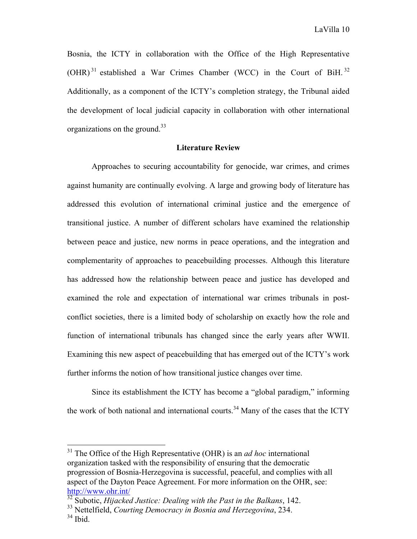Bosnia, the ICTY in collaboration with the Office of the High Representative  $(OHR)^{31}$  established a War Crimes Chamber (WCC) in the Court of BiH.<sup>32</sup> Additionally, as a component of the ICTY's completion strategy, the Tribunal aided the development of local judicial capacity in collaboration with other international organizations on the ground.<sup>33</sup>

#### **Literature Review**

Approaches to securing accountability for genocide, war crimes, and crimes against humanity are continually evolving. A large and growing body of literature has addressed this evolution of international criminal justice and the emergence of transitional justice. A number of different scholars have examined the relationship between peace and justice, new norms in peace operations, and the integration and complementarity of approaches to peacebuilding processes. Although this literature has addressed how the relationship between peace and justice has developed and examined the role and expectation of international war crimes tribunals in postconflict societies, there is a limited body of scholarship on exactly how the role and function of international tribunals has changed since the early years after WWII. Examining this new aspect of peacebuilding that has emerged out of the ICTY's work further informs the notion of how transitional justice changes over time.

Since its establishment the ICTY has become a "global paradigm," informing the work of both national and international courts.<sup>34</sup> Many of the cases that the ICTY

 <sup>31</sup> The Office of the High Representative (OHR) is an *ad hoc* international organization tasked with the responsibility of ensuring that the democratic progression of Bosnia-Herzegovina is successful, peaceful, and complies with all aspect of the Dayton Peace Agreement. For more information on the OHR, see: http://www.ohr.int/

<sup>&</sup>lt;sup>32</sup> Subotic, *Hijacked Justice: Dealing with the Past in the Balkans*, 142.

<sup>33</sup> Nettelfield, *Courting Democracy in Bosnia and Herzegovina*, 234.

<sup>34</sup> Ibid.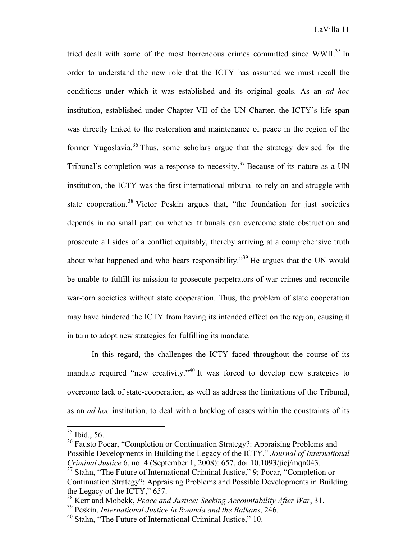tried dealt with some of the most horrendous crimes committed since WWII.<sup>35</sup> In order to understand the new role that the ICTY has assumed we must recall the conditions under which it was established and its original goals. As an *ad hoc* institution, established under Chapter VII of the UN Charter, the ICTY's life span was directly linked to the restoration and maintenance of peace in the region of the former Yugoslavia.<sup>36</sup> Thus, some scholars argue that the strategy devised for the Tribunal's completion was a response to necessity.<sup>37</sup> Because of its nature as a UN institution, the ICTY was the first international tribunal to rely on and struggle with state cooperation.<sup>38</sup> Victor Peskin argues that, "the foundation for just societies depends in no small part on whether tribunals can overcome state obstruction and prosecute all sides of a conflict equitably, thereby arriving at a comprehensive truth about what happened and who bears responsibility."<sup>39</sup> He argues that the UN would be unable to fulfill its mission to prosecute perpetrators of war crimes and reconcile war-torn societies without state cooperation. Thus, the problem of state cooperation may have hindered the ICTY from having its intended effect on the region, causing it in turn to adopt new strategies for fulfilling its mandate.

In this regard, the challenges the ICTY faced throughout the course of its mandate required "new creativity."<sup>40</sup> It was forced to develop new strategies to overcome lack of state-cooperation, as well as address the limitations of the Tribunal, as an *ad hoc* institution, to deal with a backlog of cases within the constraints of its

 $35$  Ibid., 56.

<sup>&</sup>lt;sup>36</sup> Fausto Pocar, "Completion or Continuation Strategy?: Appraising Problems and Possible Developments in Building the Legacy of the ICTY," *Journal of International Criminal Justice* 6, no. 4 (September 1, 2008): 657, doi:10.1093/jicj/mqn043.

<sup>&</sup>lt;sup>37</sup> Stahn, "The Future of International Criminal Justice," 9; Pocar, "Completion or Continuation Strategy?: Appraising Problems and Possible Developments in Building the Legacy of the ICTY," 657.

<sup>38</sup> Kerr and Mobekk, *Peace and Justice: Seeking Accountability After War*, 31.

<sup>39</sup> Peskin, *International Justice in Rwanda and the Balkans*, 246.

<sup>40</sup> Stahn, "The Future of International Criminal Justice," 10.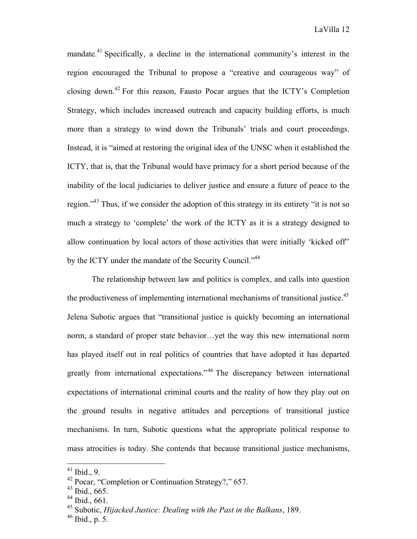mandate.<sup>41</sup> Specifically, a decline in the international community's interest in the region encouraged the Tribunal to propose a "creative and courageous way" of closing down.<sup>42</sup> For this reason, Fausto Pocar argues that the ICTY's Completion Strategy, which includes increased outreach and capacity building efforts, is much more than a strategy to wind down the Tribunals' trials and court proceedings. Instead, it is "aimed at restoring the original idea of the UNSC when it established the ICTY, that is, that the Tribunal would have primacy for a short period because of the inability of the local judiciaries to deliver justice and ensure a future of peace to the region."<sup>43</sup> Thus, if we consider the adoption of this strategy in its entirety "it is not so much a strategy to 'complete' the work of the ICTY as it is a strategy designed to allow continuation by local actors of those activities that were initially 'kicked off'' by the ICTY under the mandate of the Security Council."<sup>44</sup>

The relationship between law and politics is complex, and calls into question the productiveness of implementing international mechanisms of transitional justice.<sup>45</sup> Jelena Subotic argues that "transitional justice is quickly becoming an international norm, a standard of proper state behavior…yet the way this new international norm has played itself out in real politics of countries that have adopted it has departed greatly from international expectations."<sup>46</sup> The discrepancy between international expectations of international criminal courts and the reality of how they play out on the ground results in negative attitudes and perceptions of transitional justice mechanisms. In turn, Subotic questions what the appropriate political response to mass atrocities is today. She contends that because transitional justice mechanisms,

 <sup>41</sup> Ibid., 9.

<sup>42</sup> Pocar, "Completion or Continuation Strategy?," 657.

<sup>43</sup> Ibid., 665.

 $44$  Ibid., 661.

<sup>45</sup> Subotic, *Hijacked Justice: Dealing with the Past in the Balkans*, 189.

<sup>46</sup> Ibid., p. 5.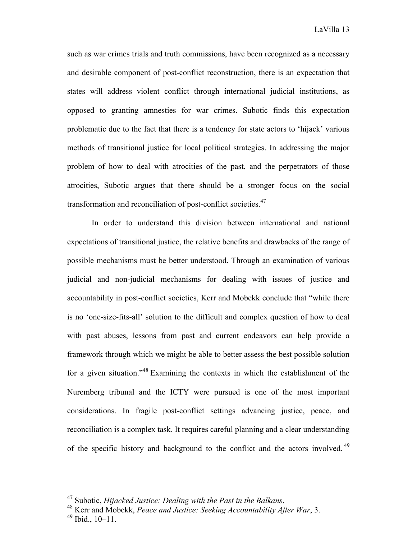such as war crimes trials and truth commissions, have been recognized as a necessary and desirable component of post-conflict reconstruction, there is an expectation that states will address violent conflict through international judicial institutions, as opposed to granting amnesties for war crimes. Subotic finds this expectation problematic due to the fact that there is a tendency for state actors to 'hijack' various methods of transitional justice for local political strategies. In addressing the major problem of how to deal with atrocities of the past, and the perpetrators of those atrocities, Subotic argues that there should be a stronger focus on the social transformation and reconciliation of post-conflict societies.47

In order to understand this division between international and national expectations of transitional justice, the relative benefits and drawbacks of the range of possible mechanisms must be better understood. Through an examination of various judicial and non-judicial mechanisms for dealing with issues of justice and accountability in post-conflict societies, Kerr and Mobekk conclude that "while there is no 'one-size-fits-all' solution to the difficult and complex question of how to deal with past abuses, lessons from past and current endeavors can help provide a framework through which we might be able to better assess the best possible solution for a given situation."48 Examining the contexts in which the establishment of the Nuremberg tribunal and the ICTY were pursued is one of the most important considerations. In fragile post-conflict settings advancing justice, peace, and reconciliation is a complex task. It requires careful planning and a clear understanding of the specific history and background to the conflict and the actors involved.<sup>49</sup>

 <sup>47</sup> Subotic, *Hijacked Justice: Dealing with the Past in the Balkans*. <sup>48</sup> Kerr and Mobekk, *Peace and Justice: Seeking Accountability After War*, 3.

<sup>49</sup> Ibid., 10–11.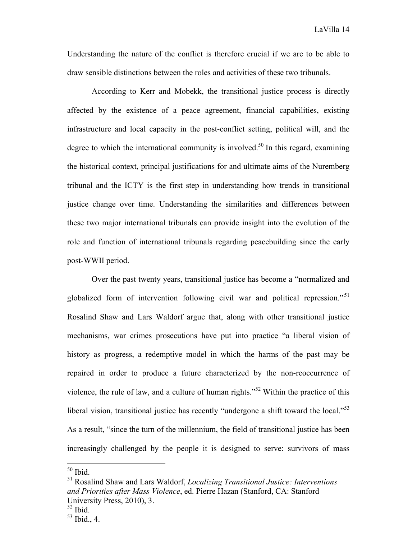Understanding the nature of the conflict is therefore crucial if we are to be able to draw sensible distinctions between the roles and activities of these two tribunals.

According to Kerr and Mobekk, the transitional justice process is directly affected by the existence of a peace agreement, financial capabilities, existing infrastructure and local capacity in the post-conflict setting, political will, and the degree to which the international community is involved.<sup>50</sup> In this regard, examining the historical context, principal justifications for and ultimate aims of the Nuremberg tribunal and the ICTY is the first step in understanding how trends in transitional justice change over time. Understanding the similarities and differences between these two major international tribunals can provide insight into the evolution of the role and function of international tribunals regarding peacebuilding since the early post-WWII period.

Over the past twenty years, transitional justice has become a "normalized and globalized form of intervention following civil war and political repression."<sup>51</sup> Rosalind Shaw and Lars Waldorf argue that, along with other transitional justice mechanisms, war crimes prosecutions have put into practice "a liberal vision of history as progress, a redemptive model in which the harms of the past may be repaired in order to produce a future characterized by the non-reoccurrence of violence, the rule of law, and a culture of human rights."<sup>52</sup> Within the practice of this liberal vision, transitional justice has recently "undergone a shift toward the local."<sup>53</sup> As a result, "since the turn of the millennium, the field of transitional justice has been increasingly challenged by the people it is designed to serve: survivors of mass

 $50$  Ibid.

<sup>51</sup> Rosalind Shaw and Lars Waldorf, *Localizing Transitional Justice: Interventions and Priorities after Mass Violence*, ed. Pierre Hazan (Stanford, CA: Stanford University Press, 2010), 3.

<sup>52</sup> Ibid.

<sup>53</sup> Ibid., 4.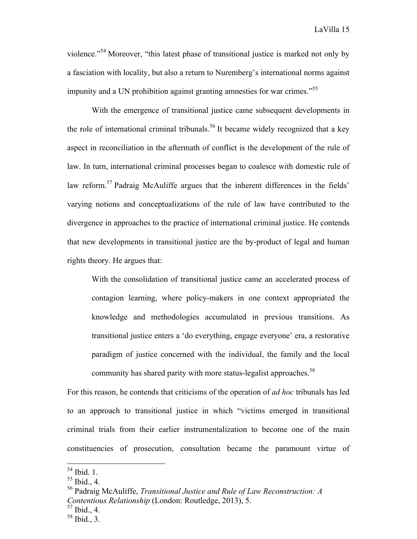LaVilla 15

violence."54 Moreover, "this latest phase of transitional justice is marked not only by a fasciation with locality, but also a return to Nuremberg's international norms against impunity and a UN prohibition against granting amnesties for war crimes.<sup>555</sup>

With the emergence of transitional justice came subsequent developments in the role of international criminal tribunals.<sup>56</sup> It became widely recognized that a key aspect in reconciliation in the aftermath of conflict is the development of the rule of law. In turn, international criminal processes began to coalesce with domestic rule of law reform.<sup>57</sup> Padraig McAuliffe argues that the inherent differences in the fields' varying notions and conceptualizations of the rule of law have contributed to the divergence in approaches to the practice of international criminal justice. He contends that new developments in transitional justice are the by-product of legal and human rights theory. He argues that:

With the consolidation of transitional justice came an accelerated process of contagion learning, where policy-makers in one context appropriated the knowledge and methodologies accumulated in previous transitions. As transitional justice enters a 'do everything, engage everyone' era, a restorative paradigm of justice concerned with the individual, the family and the local community has shared parity with more status-legalist approaches.<sup>58</sup>

For this reason, he contends that criticisms of the operation of *ad hoc* tribunals has led to an approach to transitional justice in which "victims emerged in transitional criminal trials from their earlier instrumentalization to become one of the main constituencies of prosecution, consultation became the paramount virtue of

 <sup>54</sup> Ibid. 1.

 $55$  Ibid., 4.

<sup>56</sup> Padraig McAuliffe, *Transitional Justice and Rule of Law Reconstruction: A Contentious Relationship* (London: Routledge, 2013), 5.

<sup>57</sup> Ibid., 4.

<sup>58</sup> Ibid., 3.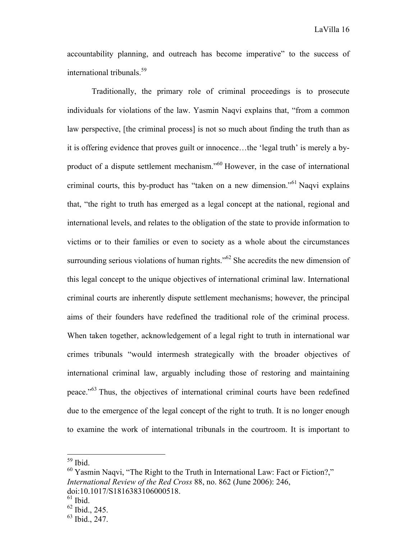accountability planning, and outreach has become imperative" to the success of international tribunals.<sup>59</sup>

Traditionally, the primary role of criminal proceedings is to prosecute individuals for violations of the law. Yasmin Naqvi explains that, "from a common law perspective, [the criminal process] is not so much about finding the truth than as it is offering evidence that proves guilt or innocence…the 'legal truth' is merely a byproduct of a dispute settlement mechanism."60 However, in the case of international criminal courts, this by-product has "taken on a new dimension."<sup>61</sup> Naqvi explains that, "the right to truth has emerged as a legal concept at the national, regional and international levels, and relates to the obligation of the state to provide information to victims or to their families or even to society as a whole about the circumstances surrounding serious violations of human rights." $62$  She accredits the new dimension of this legal concept to the unique objectives of international criminal law. International criminal courts are inherently dispute settlement mechanisms; however, the principal aims of their founders have redefined the traditional role of the criminal process. When taken together, acknowledgement of a legal right to truth in international war crimes tribunals "would intermesh strategically with the broader objectives of international criminal law, arguably including those of restoring and maintaining peace."63 Thus, the objectives of international criminal courts have been redefined due to the emergence of the legal concept of the right to truth. It is no longer enough to examine the work of international tribunals in the courtroom. It is important to

 <sup>59</sup> Ibid.

<sup>&</sup>lt;sup>60</sup> Yasmin Naqvi, "The Right to the Truth in International Law: Fact or Fiction?," *International Review of the Red Cross* 88, no. 862 (June 2006): 246, doi:10.1017/S1816383106000518.

 $61$  Ibid.

<sup>62</sup> Ibid., 245.

<sup>63</sup> Ibid., 247.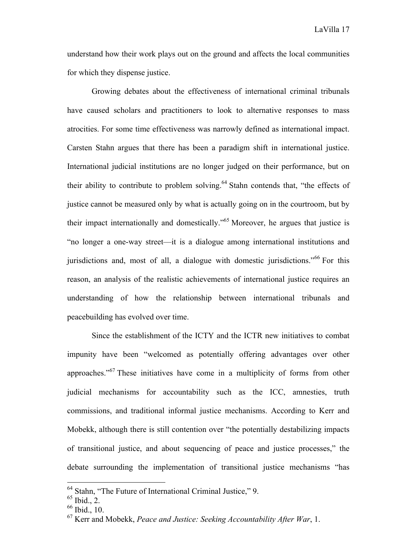understand how their work plays out on the ground and affects the local communities for which they dispense justice.

Growing debates about the effectiveness of international criminal tribunals have caused scholars and practitioners to look to alternative responses to mass atrocities. For some time effectiveness was narrowly defined as international impact. Carsten Stahn argues that there has been a paradigm shift in international justice. International judicial institutions are no longer judged on their performance, but on their ability to contribute to problem solving.<sup>64</sup> Stahn contends that, "the effects of justice cannot be measured only by what is actually going on in the courtroom, but by their impact internationally and domestically."65 Moreover, he argues that justice is "no longer a one-way street—it is a dialogue among international institutions and jurisdictions and, most of all, a dialogue with domestic jurisdictions.<sup>566</sup> For this reason, an analysis of the realistic achievements of international justice requires an understanding of how the relationship between international tribunals and peacebuilding has evolved over time.

Since the establishment of the ICTY and the ICTR new initiatives to combat impunity have been "welcomed as potentially offering advantages over other approaches."<sup>67</sup> These initiatives have come in a multiplicity of forms from other judicial mechanisms for accountability such as the ICC, amnesties, truth commissions, and traditional informal justice mechanisms. According to Kerr and Mobekk, although there is still contention over "the potentially destabilizing impacts of transitional justice, and about sequencing of peace and justice processes," the debate surrounding the implementation of transitional justice mechanisms "has

 <sup>64</sup> Stahn, "The Future of International Criminal Justice," 9.

<sup>65</sup> Ibid., 2.

 $66$  Ibid., 10.

<sup>67</sup> Kerr and Mobekk, *Peace and Justice: Seeking Accountability After War*, 1.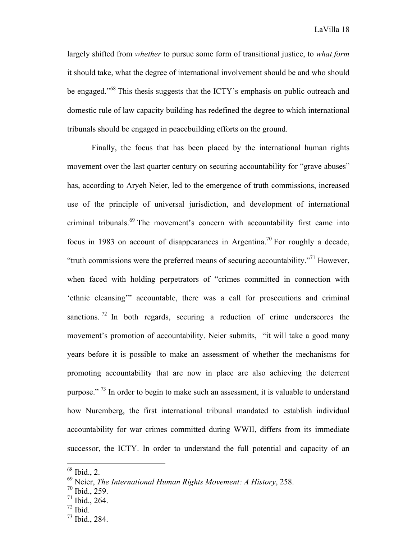LaVilla 18

largely shifted from *whether* to pursue some form of transitional justice, to *what form* it should take, what the degree of international involvement should be and who should be engaged."<sup>68</sup> This thesis suggests that the ICTY's emphasis on public outreach and domestic rule of law capacity building has redefined the degree to which international tribunals should be engaged in peacebuilding efforts on the ground.

Finally, the focus that has been placed by the international human rights movement over the last quarter century on securing accountability for "grave abuses" has, according to Aryeh Neier, led to the emergence of truth commissions, increased use of the principle of universal jurisdiction, and development of international criminal tribunals.<sup>69</sup> The movement's concern with accountability first came into focus in 1983 on account of disappearances in Argentina.<sup>70</sup> For roughly a decade, "truth commissions were the preferred means of securing accountability."<sup>71</sup> However, when faced with holding perpetrators of "crimes committed in connection with 'ethnic cleansing'" accountable, there was a call for prosecutions and criminal sanctions. <sup>72</sup> In both regards, securing a reduction of crime underscores the movement's promotion of accountability. Neier submits, "it will take a good many years before it is possible to make an assessment of whether the mechanisms for promoting accountability that are now in place are also achieving the deterrent purpose." 73 In order to begin to make such an assessment, it is valuable to understand how Nuremberg, the first international tribunal mandated to establish individual accountability for war crimes committed during WWII, differs from its immediate successor, the ICTY. In order to understand the full potential and capacity of an

 <sup>68</sup> Ibid., 2.

<sup>69</sup> Neier, *The International Human Rights Movement: A History*, 258.

<sup>70</sup> Ibid., 259.

 $71$  Ibid., 264.

<sup>72</sup> Ibid.

<sup>73</sup> Ibid., 284.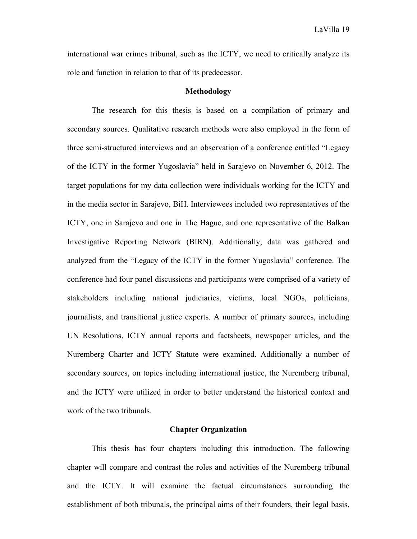international war crimes tribunal, such as the ICTY, we need to critically analyze its role and function in relation to that of its predecessor.

#### **Methodology**

The research for this thesis is based on a compilation of primary and secondary sources. Qualitative research methods were also employed in the form of three semi-structured interviews and an observation of a conference entitled "Legacy of the ICTY in the former Yugoslavia" held in Sarajevo on November 6, 2012. The target populations for my data collection were individuals working for the ICTY and in the media sector in Sarajevo, BiH. Interviewees included two representatives of the ICTY, one in Sarajevo and one in The Hague, and one representative of the Balkan Investigative Reporting Network (BIRN). Additionally, data was gathered and analyzed from the "Legacy of the ICTY in the former Yugoslavia" conference. The conference had four panel discussions and participants were comprised of a variety of stakeholders including national judiciaries, victims, local NGOs, politicians, journalists, and transitional justice experts. A number of primary sources, including UN Resolutions, ICTY annual reports and factsheets, newspaper articles, and the Nuremberg Charter and ICTY Statute were examined. Additionally a number of secondary sources, on topics including international justice, the Nuremberg tribunal, and the ICTY were utilized in order to better understand the historical context and work of the two tribunals.

#### **Chapter Organization**

This thesis has four chapters including this introduction. The following chapter will compare and contrast the roles and activities of the Nuremberg tribunal and the ICTY. It will examine the factual circumstances surrounding the establishment of both tribunals, the principal aims of their founders, their legal basis,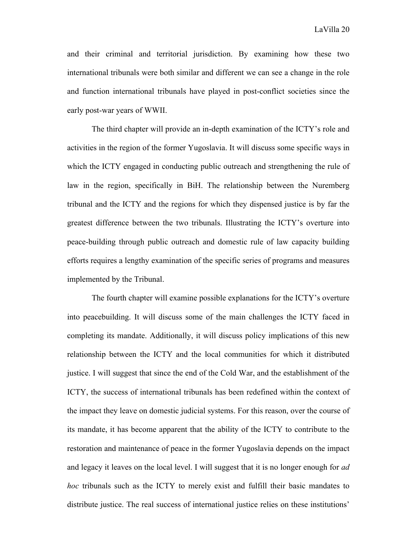and their criminal and territorial jurisdiction. By examining how these two international tribunals were both similar and different we can see a change in the role and function international tribunals have played in post-conflict societies since the early post-war years of WWII.

The third chapter will provide an in-depth examination of the ICTY's role and activities in the region of the former Yugoslavia. It will discuss some specific ways in which the ICTY engaged in conducting public outreach and strengthening the rule of law in the region, specifically in BiH. The relationship between the Nuremberg tribunal and the ICTY and the regions for which they dispensed justice is by far the greatest difference between the two tribunals. Illustrating the ICTY's overture into peace-building through public outreach and domestic rule of law capacity building efforts requires a lengthy examination of the specific series of programs and measures implemented by the Tribunal.

The fourth chapter will examine possible explanations for the ICTY's overture into peacebuilding. It will discuss some of the main challenges the ICTY faced in completing its mandate. Additionally, it will discuss policy implications of this new relationship between the ICTY and the local communities for which it distributed justice. I will suggest that since the end of the Cold War, and the establishment of the ICTY, the success of international tribunals has been redefined within the context of the impact they leave on domestic judicial systems. For this reason, over the course of its mandate, it has become apparent that the ability of the ICTY to contribute to the restoration and maintenance of peace in the former Yugoslavia depends on the impact and legacy it leaves on the local level. I will suggest that it is no longer enough for *ad hoc* tribunals such as the ICTY to merely exist and fulfill their basic mandates to distribute justice. The real success of international justice relies on these institutions'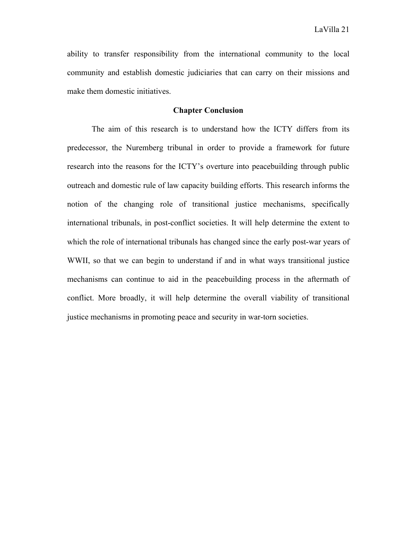ability to transfer responsibility from the international community to the local community and establish domestic judiciaries that can carry on their missions and make them domestic initiatives.

#### **Chapter Conclusion**

The aim of this research is to understand how the ICTY differs from its predecessor, the Nuremberg tribunal in order to provide a framework for future research into the reasons for the ICTY's overture into peacebuilding through public outreach and domestic rule of law capacity building efforts. This research informs the notion of the changing role of transitional justice mechanisms, specifically international tribunals, in post-conflict societies. It will help determine the extent to which the role of international tribunals has changed since the early post-war years of WWII, so that we can begin to understand if and in what ways transitional justice mechanisms can continue to aid in the peacebuilding process in the aftermath of conflict. More broadly, it will help determine the overall viability of transitional justice mechanisms in promoting peace and security in war-torn societies.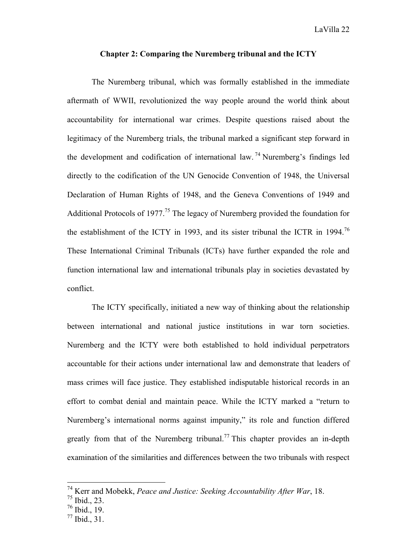#### **Chapter 2: Comparing the Nuremberg tribunal and the ICTY**

The Nuremberg tribunal, which was formally established in the immediate aftermath of WWII, revolutionized the way people around the world think about accountability for international war crimes. Despite questions raised about the legitimacy of the Nuremberg trials, the tribunal marked a significant step forward in the development and codification of international law.<sup>74</sup> Nuremberg's findings led directly to the codification of the UN Genocide Convention of 1948, the Universal Declaration of Human Rights of 1948, and the Geneva Conventions of 1949 and Additional Protocols of 1977.<sup>75</sup> The legacy of Nuremberg provided the foundation for the establishment of the ICTY in 1993, and its sister tribunal the ICTR in 1994.<sup>76</sup> These International Criminal Tribunals (ICTs) have further expanded the role and function international law and international tribunals play in societies devastated by conflict.

The ICTY specifically, initiated a new way of thinking about the relationship between international and national justice institutions in war torn societies. Nuremberg and the ICTY were both established to hold individual perpetrators accountable for their actions under international law and demonstrate that leaders of mass crimes will face justice. They established indisputable historical records in an effort to combat denial and maintain peace. While the ICTY marked a "return to Nuremberg's international norms against impunity," its role and function differed greatly from that of the Nuremberg tribunal.<sup>77</sup> This chapter provides an in-depth examination of the similarities and differences between the two tribunals with respect

 <sup>74</sup> Kerr and Mobekk, *Peace and Justice: Seeking Accountability After War*, 18.

 $75$  Ibid., 23.

<sup>76</sup> Ibid., 19.

<sup>77</sup> Ibid., 31.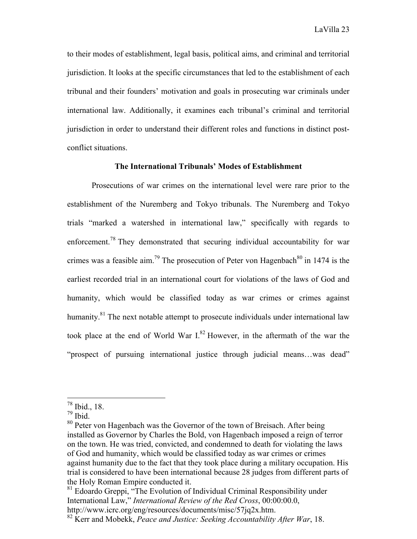to their modes of establishment, legal basis, political aims, and criminal and territorial jurisdiction. It looks at the specific circumstances that led to the establishment of each tribunal and their founders' motivation and goals in prosecuting war criminals under international law. Additionally, it examines each tribunal's criminal and territorial jurisdiction in order to understand their different roles and functions in distinct postconflict situations.

#### **The International Tribunals' Modes of Establishment**

Prosecutions of war crimes on the international level were rare prior to the establishment of the Nuremberg and Tokyo tribunals. The Nuremberg and Tokyo trials "marked a watershed in international law," specifically with regards to enforcement.<sup>78</sup> They demonstrated that securing individual accountability for war crimes was a feasible aim.<sup>79</sup> The prosecution of Peter von Hagenbach<sup>80</sup> in 1474 is the earliest recorded trial in an international court for violations of the laws of God and humanity, which would be classified today as war crimes or crimes against humanity.<sup>81</sup> The next notable attempt to prosecute individuals under international law took place at the end of World War  $I^{82}$  However, in the aftermath of the war the "prospect of pursuing international justice through judicial means…was dead"

 <sup>78</sup> Ibid., 18.

<sup>79</sup> Ibid.

<sup>&</sup>lt;sup>80</sup> Peter von Hagenbach was the Governor of the town of Breisach. After being installed as Governor by Charles the Bold, von Hagenbach imposed a reign of terror on the town. He was tried, convicted, and condemned to death for violating the laws of God and humanity, which would be classified today as war crimes or crimes against humanity due to the fact that they took place during a military occupation. His trial is considered to have been international because 28 judges from different parts of the Holy Roman Empire conducted it.

 $81$  Edoardo Greppi, "The Evolution of Individual Criminal Responsibility under International Law," *International Review of the Red Cross*, 00:00:00.0,

http://www.icrc.org/eng/resources/documents/misc/57jq2x.htm.

<sup>82</sup> Kerr and Mobekk, *Peace and Justice: Seeking Accountability After War*, 18.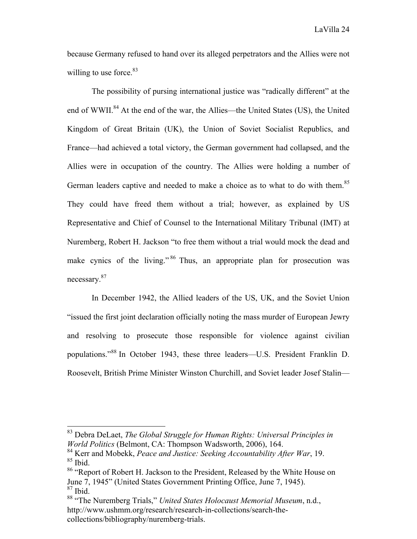because Germany refused to hand over its alleged perpetrators and the Allies were not willing to use force. $83$ 

The possibility of pursing international justice was "radically different" at the end of WWII.<sup>84</sup> At the end of the war, the Allies—the United States (US), the United Kingdom of Great Britain (UK), the Union of Soviet Socialist Republics, and France—had achieved a total victory, the German government had collapsed, and the Allies were in occupation of the country. The Allies were holding a number of German leaders captive and needed to make a choice as to what to do with them.<sup>85</sup> They could have freed them without a trial; however, as explained by US Representative and Chief of Counsel to the International Military Tribunal (IMT) at Nuremberg, Robert H. Jackson "to free them without a trial would mock the dead and make cynics of the living."<sup>86</sup> Thus, an appropriate plan for prosecution was necessary.<sup>87</sup>

In December 1942, the Allied leaders of the US, UK, and the Soviet Union "issued the first joint declaration officially noting the mass murder of European Jewry and resolving to prosecute those responsible for violence against civilian populations."<sup>88</sup> In October 1943, these three leaders—U.S. President Franklin D. Roosevelt, British Prime Minister Winston Churchill, and Soviet leader Josef Stalin—

 <sup>83</sup> Debra DeLaet, *The Global Struggle for Human Rights: Universal Principles in World Politics* (Belmont, CA: Thompson Wadsworth, 2006), 164.

<sup>84</sup> Kerr and Mobekk, *Peace and Justice: Seeking Accountability After War*, 19.  $85$  Ibid.

<sup>86 &</sup>quot;Report of Robert H. Jackson to the President, Released by the White House on June 7, 1945" (United States Government Printing Office, June 7, 1945).  $87$  Ibid.

<sup>88</sup> "The Nuremberg Trials," *United States Holocaust Memorial Museum*, n.d., http://www.ushmm.org/research/research-in-collections/search-thecollections/bibliography/nuremberg-trials.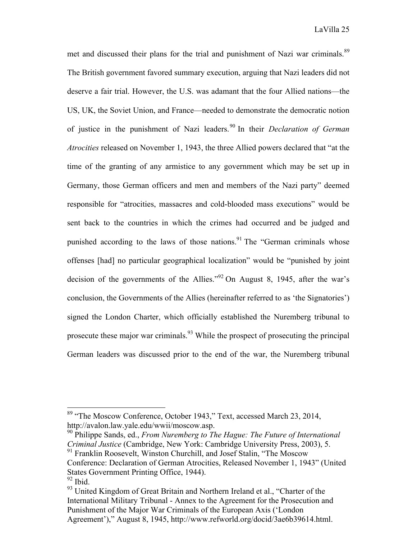met and discussed their plans for the trial and punishment of Nazi war criminals.<sup>89</sup> The British government favored summary execution, arguing that Nazi leaders did not deserve a fair trial. However, the U.S. was adamant that the four Allied nations—the US, UK, the Soviet Union, and France—needed to demonstrate the democratic notion of justice in the punishment of Nazi leaders.<sup>90</sup> In their *Declaration of German Atrocities* released on November 1, 1943, the three Allied powers declared that "at the time of the granting of any armistice to any government which may be set up in Germany, those German officers and men and members of the Nazi party" deemed responsible for "atrocities, massacres and cold-blooded mass executions" would be sent back to the countries in which the crimes had occurred and be judged and punished according to the laws of those nations.<sup>91</sup> The "German criminals whose offenses [had] no particular geographical localization" would be "punished by joint decision of the governments of the Allies."<sup>92</sup> On August 8, 1945, after the war's conclusion, the Governments of the Allies (hereinafter referred to as 'the Signatories') signed the London Charter, which officially established the Nuremberg tribunal to prosecute these major war criminals.<sup>93</sup> While the prospect of prosecuting the principal German leaders was discussed prior to the end of the war, the Nuremberg tribunal

 <sup>89</sup> "The Moscow Conference, October 1943," Text, accessed March 23, 2014, http://avalon.law.yale.edu/wwii/moscow.asp.

<sup>90</sup> Philippe Sands, ed., *From Nuremberg to The Hague: The Future of International Criminal Justice* (Cambridge, New York: Cambridge University Press, 2003), 5.

<sup>&</sup>lt;sup>91</sup> Franklin Roosevelt, Winston Churchill, and Josef Stalin, "The Moscow Conference: Declaration of German Atrocities, Released November 1, 1943" (United States Government Printing Office, 1944).  $92$  Ibid.

<sup>&</sup>lt;sup>93</sup> United Kingdom of Great Britain and Northern Ireland et al., "Charter of the International Military Tribunal - Annex to the Agreement for the Prosecution and Punishment of the Major War Criminals of the European Axis ('London Agreement')," August 8, 1945, http://www.refworld.org/docid/3ae6b39614.html.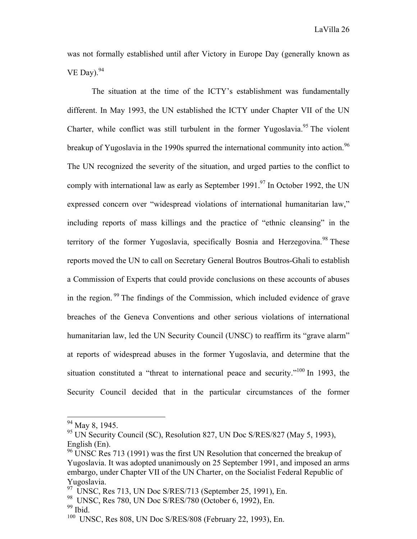was not formally established until after Victory in Europe Day (generally known as VE Day). $94$ 

The situation at the time of the ICTY's establishment was fundamentally different. In May 1993, the UN established the ICTY under Chapter VII of the UN Charter, while conflict was still turbulent in the former Yugoslavia.<sup>95</sup> The violent breakup of Yugoslavia in the 1990s spurred the international community into action.<sup>96</sup> The UN recognized the severity of the situation, and urged parties to the conflict to comply with international law as early as September 1991.<sup>97</sup> In October 1992, the UN expressed concern over "widespread violations of international humanitarian law," including reports of mass killings and the practice of "ethnic cleansing" in the territory of the former Yugoslavia, specifically Bosnia and Herzegovina.<sup>98</sup> These reports moved the UN to call on Secretary General Boutros Boutros-Ghali to establish a Commission of Experts that could provide conclusions on these accounts of abuses in the region. <sup>99</sup> The findings of the Commission, which included evidence of grave breaches of the Geneva Conventions and other serious violations of international humanitarian law, led the UN Security Council (UNSC) to reaffirm its "grave alarm" at reports of widespread abuses in the former Yugoslavia, and determine that the situation constituted a "threat to international peace and security."<sup>100</sup> In 1993, the Security Council decided that in the particular circumstances of the former

 $99$  Ibid.

 <sup>94</sup> May 8, 1945.

<sup>&</sup>lt;sup>95</sup> UN Security Council (SC), Resolution 827, UN Doc S/RES/827 (May 5, 1993), English (En).

<sup>&</sup>lt;sup>96</sup> UNSC Res 713 (1991) was the first UN Resolution that concerned the breakup of Yugoslavia. It was adopted unanimously on 25 September 1991, and imposed an arms embargo, under Chapter VII of the UN Charter, on the Socialist Federal Republic of Yugoslavia.

 $97$  UNSC, Res 713, UN Doc S/RES/713 (September 25, 1991), En.

<sup>98</sup> UNSC, Res 780, UN Doc S/RES/780 (October 6, 1992), En.

<sup>100</sup> UNSC, Res 808, UN Doc S/RES/808 (February 22, 1993), En.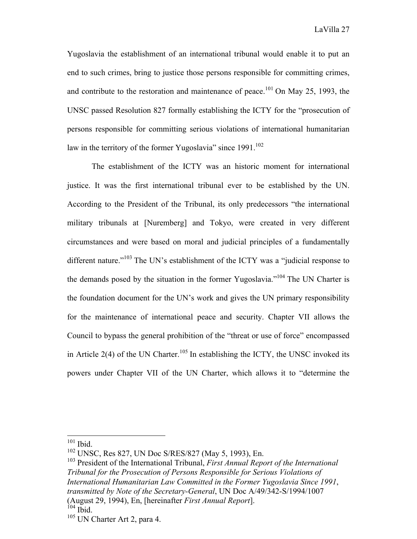Yugoslavia the establishment of an international tribunal would enable it to put an end to such crimes, bring to justice those persons responsible for committing crimes, and contribute to the restoration and maintenance of peace.<sup>101</sup> On May 25, 1993, the UNSC passed Resolution 827 formally establishing the ICTY for the "prosecution of persons responsible for committing serious violations of international humanitarian law in the territory of the former Yugoslavia" since  $1991$ <sup>102</sup>

The establishment of the ICTY was an historic moment for international justice. It was the first international tribunal ever to be established by the UN. According to the President of the Tribunal, its only predecessors "the international military tribunals at [Nuremberg] and Tokyo, were created in very different circumstances and were based on moral and judicial principles of a fundamentally different nature."<sup>103</sup> The UN's establishment of the ICTY was a "judicial response to the demands posed by the situation in the former Yugoslavia."104 The UN Charter is the foundation document for the UN's work and gives the UN primary responsibility for the maintenance of international peace and security. Chapter VII allows the Council to bypass the general prohibition of the "threat or use of force" encompassed in Article 2(4) of the UN Charter.<sup>105</sup> In establishing the ICTY, the UNSC invoked its powers under Chapter VII of the UN Charter, which allows it to "determine the

 $101$  Ibid.

<sup>102</sup> UNSC, Res 827, UN Doc S/RES/827 (May 5, 1993), En.

<sup>103</sup> President of the International Tribunal, *First Annual Report of the International Tribunal for the Prosecution of Persons Responsible for Serious Violations of International Humanitarian Law Committed in the Former Yugoslavia Since 1991*, *transmitted by Note of the Secretary-General*, UN Doc A/49/342-S/1994/1007 (August 29, 1994), En, [hereinafter *First Annual Report*].  $104$  Ibid.

<sup>105</sup> UN Charter Art 2, para 4.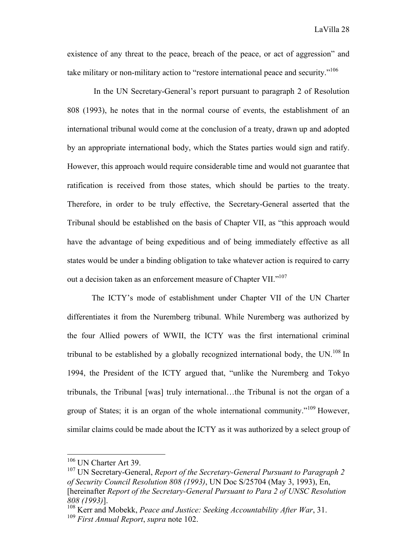existence of any threat to the peace, breach of the peace, or act of aggression" and take military or non-military action to "restore international peace and security."<sup>106</sup>

In the UN Secretary-General's report pursuant to paragraph 2 of Resolution 808 (1993), he notes that in the normal course of events, the establishment of an international tribunal would come at the conclusion of a treaty, drawn up and adopted by an appropriate international body, which the States parties would sign and ratify. However, this approach would require considerable time and would not guarantee that ratification is received from those states, which should be parties to the treaty. Therefore, in order to be truly effective, the Secretary-General asserted that the Tribunal should be established on the basis of Chapter VII, as "this approach would have the advantage of being expeditious and of being immediately effective as all states would be under a binding obligation to take whatever action is required to carry out a decision taken as an enforcement measure of Chapter VII."<sup>107</sup>

The ICTY's mode of establishment under Chapter VII of the UN Charter differentiates it from the Nuremberg tribunal. While Nuremberg was authorized by the four Allied powers of WWII, the ICTY was the first international criminal tribunal to be established by a globally recognized international body, the  $UN<sup>108</sup>$  In 1994, the President of the ICTY argued that, "unlike the Nuremberg and Tokyo tribunals, the Tribunal [was] truly international…the Tribunal is not the organ of a group of States; it is an organ of the whole international community."<sup>109</sup> However, similar claims could be made about the ICTY as it was authorized by a select group of

<sup>&</sup>lt;sup>106</sup> UN Charter Art 39.

<sup>107</sup> UN Secretary-General, *Report of the Secretary-General Pursuant to Paragraph 2 of Security Council Resolution 808 (1993)*, UN Doc S/25704 (May 3, 1993), En, [hereinafter *Report of the Secretary-General Pursuant to Para 2 of UNSC Resolution 808 (1993)*].

<sup>108</sup> Kerr and Mobekk, *Peace and Justice: Seeking Accountability After War*, 31.

<sup>109</sup> *First Annual Report*, *supra* note 102.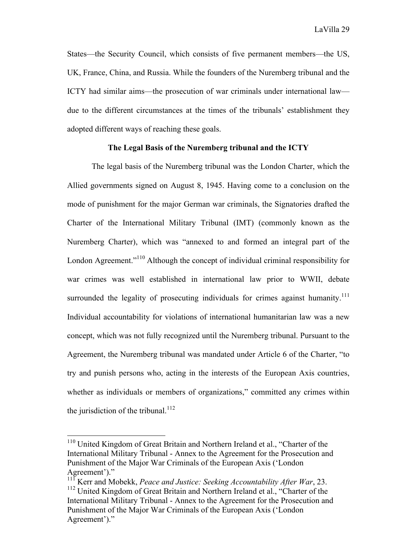States—the Security Council, which consists of five permanent members—the US, UK, France, China, and Russia. While the founders of the Nuremberg tribunal and the ICTY had similar aims—the prosecution of war criminals under international law due to the different circumstances at the times of the tribunals' establishment they adopted different ways of reaching these goals.

#### **The Legal Basis of the Nuremberg tribunal and the ICTY**

The legal basis of the Nuremberg tribunal was the London Charter, which the Allied governments signed on August 8, 1945. Having come to a conclusion on the mode of punishment for the major German war criminals, the Signatories drafted the Charter of the International Military Tribunal (IMT) (commonly known as the Nuremberg Charter), which was "annexed to and formed an integral part of the London Agreement."<sup>110</sup> Although the concept of individual criminal responsibility for war crimes was well established in international law prior to WWII, debate surrounded the legality of prosecuting individuals for crimes against humanity.<sup>111</sup> Individual accountability for violations of international humanitarian law was a new concept, which was not fully recognized until the Nuremberg tribunal. Pursuant to the Agreement, the Nuremberg tribunal was mandated under Article 6 of the Charter, "to try and punish persons who, acting in the interests of the European Axis countries, whether as individuals or members of organizations," committed any crimes within the jurisdiction of the tribunal.<sup>112</sup>

 <sup>110</sup> United Kingdom of Great Britain and Northern Ireland et al., "Charter of the International Military Tribunal - Annex to the Agreement for the Prosecution and Punishment of the Major War Criminals of the European Axis ('London Agreement')."

<sup>111</sup> Kerr and Mobekk, *Peace and Justice: Seeking Accountability After War*, 23.

<sup>&</sup>lt;sup>112</sup> United Kingdom of Great Britain and Northern Ireland et al., "Charter of the International Military Tribunal - Annex to the Agreement for the Prosecution and Punishment of the Major War Criminals of the European Axis ('London Agreement')."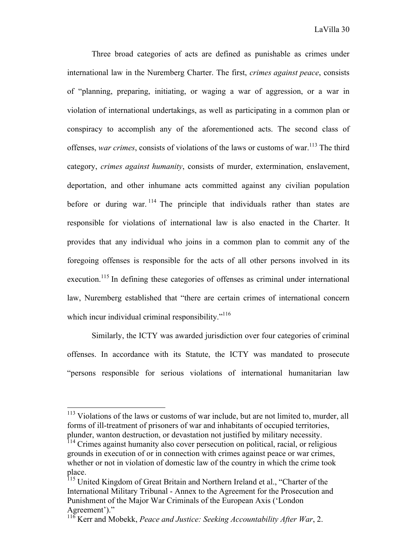Three broad categories of acts are defined as punishable as crimes under international law in the Nuremberg Charter. The first, *crimes against peace*, consists of "planning, preparing, initiating, or waging a war of aggression, or a war in violation of international undertakings, as well as participating in a common plan or conspiracy to accomplish any of the aforementioned acts. The second class of offenses, *war crimes*, consists of violations of the laws or customs of war.<sup>113</sup> The third category, *crimes against humanity*, consists of murder, extermination, enslavement, deportation, and other inhumane acts committed against any civilian population before or during war.  $114$  The principle that individuals rather than states are responsible for violations of international law is also enacted in the Charter. It provides that any individual who joins in a common plan to commit any of the foregoing offenses is responsible for the acts of all other persons involved in its execution.<sup>115</sup> In defining these categories of offenses as criminal under international law, Nuremberg established that "there are certain crimes of international concern which incur individual criminal responsibility."<sup>116</sup>

Similarly, the ICTY was awarded jurisdiction over four categories of criminal offenses. In accordance with its Statute, the ICTY was mandated to prosecute "persons responsible for serious violations of international humanitarian law

<sup>&</sup>lt;sup>113</sup> Violations of the laws or customs of war include, but are not limited to, murder, all forms of ill-treatment of prisoners of war and inhabitants of occupied territories, plunder, wanton destruction, or devastation not justified by military necessity.

<sup>&</sup>lt;sup>114</sup> Crimes against humanity also cover persecution on political, racial, or religious grounds in execution of or in connection with crimes against peace or war crimes, whether or not in violation of domestic law of the country in which the crime took place.

<sup>&</sup>lt;sup>115</sup> United Kingdom of Great Britain and Northern Ireland et al., "Charter of the International Military Tribunal - Annex to the Agreement for the Prosecution and Punishment of the Major War Criminals of the European Axis ('London Agreement')."

<sup>116</sup> Kerr and Mobekk, *Peace and Justice: Seeking Accountability After War*, 2.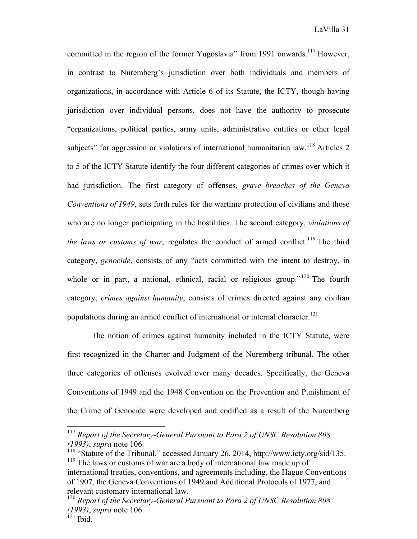committed in the region of the former Yugoslavia" from 1991 onwards.<sup>117</sup> However, in contrast to Nuremberg's jurisdiction over both individuals and members of organizations, in accordance with Article 6 of its Statute, the ICTY, though having jurisdiction over individual persons, does not have the authority to prosecute "organizations, political parties, army units, administrative entities or other legal subjects" for aggression or violations of international humanitarian law.<sup>118</sup> Articles 2 to 5 of the ICTY Statute identify the four different categories of crimes over which it had jurisdiction. The first category of offenses, *grave breaches of the Geneva Conventions of 1949*, sets forth rules for the wartime protection of civilians and those who are no longer participating in the hostilities. The second category, *violations of the laws or customs of war*, regulates the conduct of armed conflict.<sup>119</sup> The third category, *genocide*, consists of any "acts committed with the intent to destroy, in whole or in part, a national, ethnical, racial or religious group."<sup>120</sup> The fourth category, *crimes against humanity*, consists of crimes directed against any civilian populations during an armed conflict of international or internal character.<sup>121</sup>

The notion of crimes against humanity included in the ICTY Statute, were first recognized in the Charter and Judgment of the Nuremberg tribunal. The other three categories of offenses evolved over many decades. Specifically, the Geneva Conventions of 1949 and the 1948 Convention on the Prevention and Punishment of the Crime of Genocide were developed and codified as a result of the Nuremberg

 <sup>117</sup> *Report of the Secretary-General Pursuant to Para 2 of UNSC Resolution 808 (1993)*, *supra* note 106.

<sup>&</sup>lt;sup>118</sup> "Statute of the Tribunal," accessed January 26, 2014, http://www.icty.org/sid/135. <sup>119</sup> The laws or customs of war are a body of international law made up of international treaties, conventions, and agreements including, the Hague Conventions of 1907, the Geneva Conventions of 1949 and Additional Protocols of 1977, and relevant customary international law.

<sup>120</sup> *Report of the Secretary-General Pursuant to Para 2 of UNSC Resolution 808 (1993)*, *supra* note 106.

 $\overline{121}$  Ibid.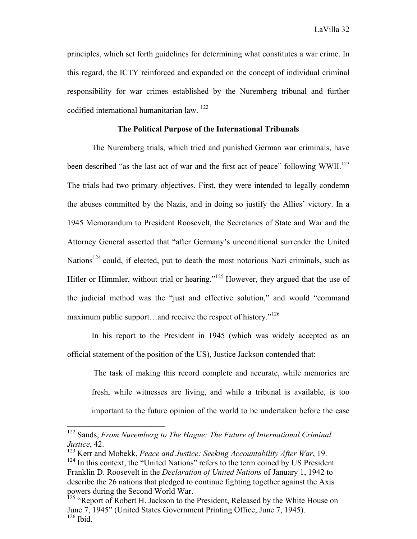LaVilla 32

principles, which set forth guidelines for determining what constitutes a war crime. In this regard, the ICTY reinforced and expanded on the concept of individual criminal responsibility for war crimes established by the Nuremberg tribunal and further codified international humanitarian law. 122

#### **The Political Purpose of the International Tribunals**

The Nuremberg trials, which tried and punished German war criminals, have been described "as the last act of war and the first act of peace" following  $WWII$ <sup>123</sup> The trials had two primary objectives. First, they were intended to legally condemn the abuses committed by the Nazis, and in doing so justify the Allies' victory. In a 1945 Memorandum to President Roosevelt, the Secretaries of State and War and the Attorney General asserted that "after Germany's unconditional surrender the United Nations<sup>124</sup> could, if elected, put to death the most notorious Nazi criminals, such as Hitler or Himmler, without trial or hearing."<sup>125</sup> However, they argued that the use of the judicial method was the "just and effective solution," and would "command maximum public support...and receive the respect of history."<sup>126</sup>

In his report to the President in 1945 (which was widely accepted as an official statement of the position of the US), Justice Jackson contended that:

The task of making this record complete and accurate, while memories are fresh, while witnesses are living, and while a tribunal is available, is too important to the future opinion of the world to be undertaken before the case

 <sup>122</sup> Sands, *From Nuremberg to The Hague: The Future of International Criminal Justice*, 42.

<sup>123</sup> Kerr and Mobekk, *Peace and Justice: Seeking Accountability After War*, 19.  $124$  In this context, the "United Nations" refers to the term coined by US President Franklin D. Roosevelt in the *Declaration of United Nations* of January 1, 1942 to describe the 26 nations that pledged to continue fighting together against the Axis powers during the Second World War.

<sup>&</sup>lt;sup>125</sup> "Report of Robert H. Jackson to the President, Released by the White House on June 7, 1945" (United States Government Printing Office, June 7, 1945). <sup>126</sup> Ibid.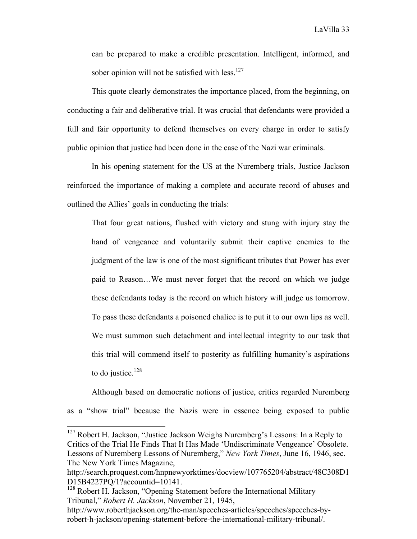can be prepared to make a credible presentation. Intelligent, informed, and sober opinion will not be satisfied with less.<sup>127</sup>

This quote clearly demonstrates the importance placed, from the beginning, on conducting a fair and deliberative trial. It was crucial that defendants were provided a full and fair opportunity to defend themselves on every charge in order to satisfy public opinion that justice had been done in the case of the Nazi war criminals.

In his opening statement for the US at the Nuremberg trials, Justice Jackson reinforced the importance of making a complete and accurate record of abuses and outlined the Allies' goals in conducting the trials:

That four great nations, flushed with victory and stung with injury stay the hand of vengeance and voluntarily submit their captive enemies to the judgment of the law is one of the most significant tributes that Power has ever paid to Reason…We must never forget that the record on which we judge these defendants today is the record on which history will judge us tomorrow. To pass these defendants a poisoned chalice is to put it to our own lips as well. We must summon such detachment and intellectual integrity to our task that this trial will commend itself to posterity as fulfilling humanity's aspirations to do justice. $128$ 

Although based on democratic notions of justice, critics regarded Nuremberg as a "show trial" because the Nazis were in essence being exposed to public

 $127$  Robert H. Jackson, "Justice Jackson Weighs Nuremberg's Lessons: In a Reply to Critics of the Trial He Finds That It Has Made 'Undiscriminate Vengeance' Obsolete. Lessons of Nuremberg Lessons of Nuremberg," *New York Times*, June 16, 1946, sec. The New York Times Magazine,

http://search.proquest.com/hnpnewyorktimes/docview/107765204/abstract/48C308D1 D15B4227PQ/1?accountid=10141.

<sup>&</sup>lt;sup>128</sup> Robert H. Jackson, "Opening Statement before the International Military Tribunal," *Robert H. Jackson*, November 21, 1945,

http://www.roberthjackson.org/the-man/speeches-articles/speeches/speeches-byrobert-h-jackson/opening-statement-before-the-international-military-tribunal/.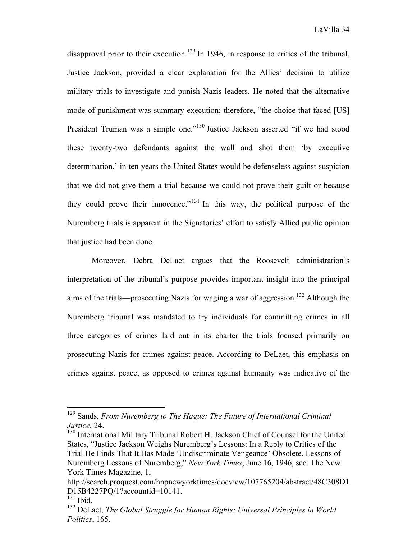disapproval prior to their execution.<sup>129</sup> In 1946, in response to critics of the tribunal, Justice Jackson, provided a clear explanation for the Allies' decision to utilize military trials to investigate and punish Nazis leaders. He noted that the alternative mode of punishment was summary execution; therefore, "the choice that faced [US] President Truman was a simple one."<sup>130</sup> Justice Jackson asserted "if we had stood these twenty-two defendants against the wall and shot them 'by executive determination,' in ten years the United States would be defenseless against suspicion that we did not give them a trial because we could not prove their guilt or because they could prove their innocence."<sup> $131$ </sup> In this way, the political purpose of the Nuremberg trials is apparent in the Signatories' effort to satisfy Allied public opinion that justice had been done.

Moreover, Debra DeLaet argues that the Roosevelt administration's interpretation of the tribunal's purpose provides important insight into the principal aims of the trials—prosecuting Nazis for waging a war of aggression.<sup>132</sup> Although the Nuremberg tribunal was mandated to try individuals for committing crimes in all three categories of crimes laid out in its charter the trials focused primarily on prosecuting Nazis for crimes against peace. According to DeLaet, this emphasis on crimes against peace, as opposed to crimes against humanity was indicative of the

 <sup>129</sup> Sands, *From Nuremberg to The Hague: The Future of International Criminal Justice*, 24.

<sup>&</sup>lt;sup>130</sup> International Military Tribunal Robert H. Jackson Chief of Counsel for the United States, "Justice Jackson Weighs Nuremberg's Lessons: In a Reply to Critics of the Trial He Finds That It Has Made 'Undiscriminate Vengeance' Obsolete. Lessons of Nuremberg Lessons of Nuremberg," *New York Times*, June 16, 1946, sec. The New York Times Magazine, 1,

http://search.proquest.com/hnpnewyorktimes/docview/107765204/abstract/48C308D1 D15B4227PQ/1?accountid=10141.

 $131$  Ibid.

<sup>132</sup> DeLaet, *The Global Struggle for Human Rights: Universal Principles in World Politics*, 165.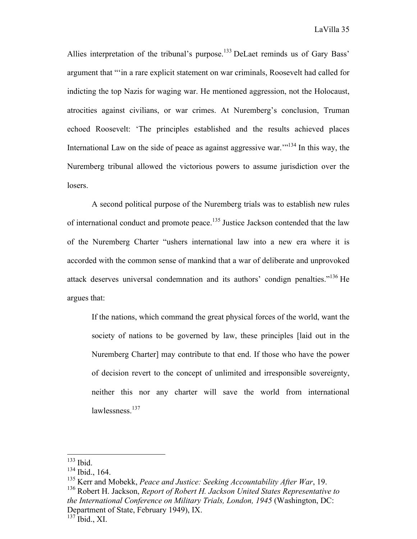Allies interpretation of the tribunal's purpose.<sup>133</sup> DeLaet reminds us of Gary Bass' argument that "'in a rare explicit statement on war criminals, Roosevelt had called for indicting the top Nazis for waging war. He mentioned aggression, not the Holocaust, atrocities against civilians, or war crimes. At Nuremberg's conclusion, Truman echoed Roosevelt: 'The principles established and the results achieved places International Law on the side of peace as against aggressive war.'"134 In this way, the Nuremberg tribunal allowed the victorious powers to assume jurisdiction over the losers.

A second political purpose of the Nuremberg trials was to establish new rules of international conduct and promote peace.<sup>135</sup> Justice Jackson contended that the law of the Nuremberg Charter "ushers international law into a new era where it is accorded with the common sense of mankind that a war of deliberate and unprovoked attack deserves universal condemnation and its authors' condign penalties."136 He argues that:

If the nations, which command the great physical forces of the world, want the society of nations to be governed by law, these principles [laid out in the Nuremberg Charter] may contribute to that end. If those who have the power of decision revert to the concept of unlimited and irresponsible sovereignty, neither this nor any charter will save the world from international lawlessness.<sup>137</sup>

<sup>136</sup> Robert H. Jackson, *Report of Robert H. Jackson United States Representative to the International Conference on Military Trials, London, 1945* (Washington, DC: Department of State, February 1949), IX.

 $133$  Ibid.

<sup>134</sup> Ibid., 164.

<sup>135</sup> Kerr and Mobekk, *Peace and Justice: Seeking Accountability After War*, 19.

 $^{137}$  Ibid., XI.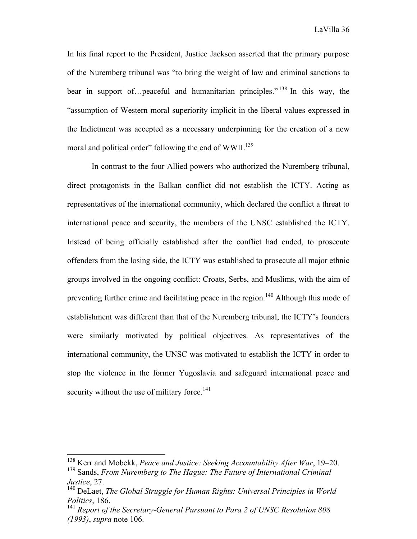In his final report to the President, Justice Jackson asserted that the primary purpose of the Nuremberg tribunal was "to bring the weight of law and criminal sanctions to bear in support of...peaceful and humanitarian principles."<sup>138</sup> In this way, the "assumption of Western moral superiority implicit in the liberal values expressed in the Indictment was accepted as a necessary underpinning for the creation of a new moral and political order" following the end of WWII.<sup>139</sup>

In contrast to the four Allied powers who authorized the Nuremberg tribunal, direct protagonists in the Balkan conflict did not establish the ICTY. Acting as representatives of the international community, which declared the conflict a threat to international peace and security, the members of the UNSC established the ICTY. Instead of being officially established after the conflict had ended, to prosecute offenders from the losing side, the ICTY was established to prosecute all major ethnic groups involved in the ongoing conflict: Croats, Serbs, and Muslims, with the aim of preventing further crime and facilitating peace in the region.<sup>140</sup> Although this mode of establishment was different than that of the Nuremberg tribunal, the ICTY's founders were similarly motivated by political objectives. As representatives of the international community, the UNSC was motivated to establish the ICTY in order to stop the violence in the former Yugoslavia and safeguard international peace and security without the use of military force. $141$ 

 <sup>138</sup> Kerr and Mobekk, *Peace and Justice: Seeking Accountability After War*, 19–20.

<sup>139</sup> Sands, *From Nuremberg to The Hague: The Future of International Criminal Justice*, 27.

<sup>140</sup> DeLaet, *The Global Struggle for Human Rights: Universal Principles in World Politics*, 186.

<sup>141</sup> *Report of the Secretary-General Pursuant to Para 2 of UNSC Resolution 808 (1993)*, *supra* note 106.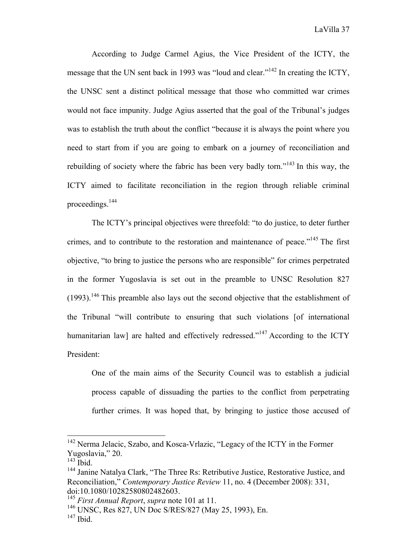According to Judge Carmel Agius, the Vice President of the ICTY, the message that the UN sent back in 1993 was "loud and clear."<sup>142</sup> In creating the ICTY, the UNSC sent a distinct political message that those who committed war crimes would not face impunity. Judge Agius asserted that the goal of the Tribunal's judges was to establish the truth about the conflict "because it is always the point where you need to start from if you are going to embark on a journey of reconciliation and rebuilding of society where the fabric has been very badly torn."<sup>143</sup> In this way, the ICTY aimed to facilitate reconciliation in the region through reliable criminal proceedings.144

The ICTY's principal objectives were threefold: "to do justice, to deter further crimes, and to contribute to the restoration and maintenance of peace."145 The first objective, "to bring to justice the persons who are responsible" for crimes perpetrated in the former Yugoslavia is set out in the preamble to UNSC Resolution 827  $(1993)$ <sup>146</sup> This preamble also lays out the second objective that the establishment of the Tribunal "will contribute to ensuring that such violations [of international humanitarian law] are halted and effectively redressed."<sup>147</sup> According to the ICTY President:

One of the main aims of the Security Council was to establish a judicial process capable of dissuading the parties to the conflict from perpetrating further crimes. It was hoped that, by bringing to justice those accused of

<sup>&</sup>lt;sup>142</sup> Nerma Jelacic, Szabo, and Kosca-Vrlazic, "Legacy of the ICTY in the Former Yugoslavia," 20.

 $143$  Ibid.

<sup>&</sup>lt;sup>144</sup> Janine Natalya Clark, "The Three Rs: Retributive Justice, Restorative Justice, and Reconciliation," *Contemporary Justice Review* 11, no. 4 (December 2008): 331, doi:10.1080/10282580802482603.

<sup>145</sup> *First Annual Report*, *supra* note 101 at 11.

<sup>146</sup> UNSC, Res 827, UN Doc S/RES/827 (May 25, 1993), En.

<sup>147</sup> Ibid.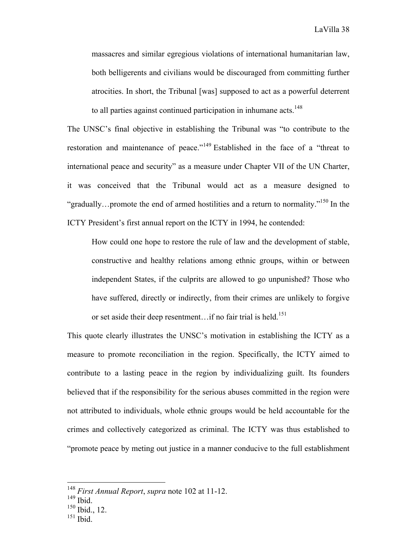LaVilla 38

massacres and similar egregious violations of international humanitarian law, both belligerents and civilians would be discouraged from committing further atrocities. In short, the Tribunal [was] supposed to act as a powerful deterrent to all parties against continued participation in inhumane acts.<sup>148</sup>

The UNSC's final objective in establishing the Tribunal was "to contribute to the restoration and maintenance of peace."<sup>149</sup> Established in the face of a "threat to international peace and security" as a measure under Chapter VII of the UN Charter, it was conceived that the Tribunal would act as a measure designed to "gradually...promote the end of armed hostilities and a return to normality."<sup>150</sup> In the ICTY President's first annual report on the ICTY in 1994, he contended:

How could one hope to restore the rule of law and the development of stable, constructive and healthy relations among ethnic groups, within or between independent States, if the culprits are allowed to go unpunished? Those who have suffered, directly or indirectly, from their crimes are unlikely to forgive or set aside their deep resentment...if no fair trial is held.<sup>151</sup>

This quote clearly illustrates the UNSC's motivation in establishing the ICTY as a measure to promote reconciliation in the region. Specifically, the ICTY aimed to contribute to a lasting peace in the region by individualizing guilt. Its founders believed that if the responsibility for the serious abuses committed in the region were not attributed to individuals, whole ethnic groups would be held accountable for the crimes and collectively categorized as criminal. The ICTY was thus established to "promote peace by meting out justice in a manner conducive to the full establishment

 <sup>148</sup> *First Annual Report*, *supra* note 102 at 11-12.

<sup>149</sup> Ibid.

<sup>150</sup> Ibid., 12.

 $151$  Ibid.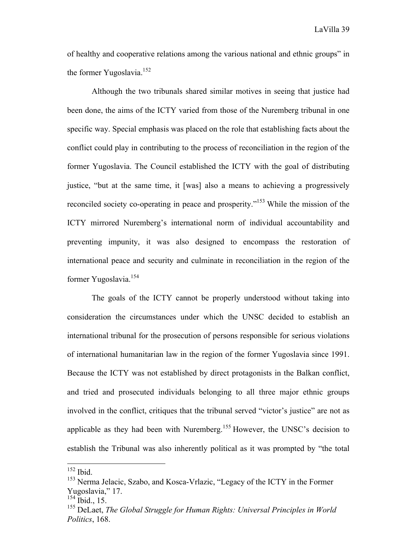of healthy and cooperative relations among the various national and ethnic groups" in the former Yugoslavia.<sup>152</sup>

Although the two tribunals shared similar motives in seeing that justice had been done, the aims of the ICTY varied from those of the Nuremberg tribunal in one specific way. Special emphasis was placed on the role that establishing facts about the conflict could play in contributing to the process of reconciliation in the region of the former Yugoslavia. The Council established the ICTY with the goal of distributing justice, "but at the same time, it [was] also a means to achieving a progressively reconciled society co-operating in peace and prosperity."153 While the mission of the ICTY mirrored Nuremberg's international norm of individual accountability and preventing impunity, it was also designed to encompass the restoration of international peace and security and culminate in reconciliation in the region of the former Yugoslavia.<sup>154</sup>

The goals of the ICTY cannot be properly understood without taking into consideration the circumstances under which the UNSC decided to establish an international tribunal for the prosecution of persons responsible for serious violations of international humanitarian law in the region of the former Yugoslavia since 1991. Because the ICTY was not established by direct protagonists in the Balkan conflict, and tried and prosecuted individuals belonging to all three major ethnic groups involved in the conflict, critiques that the tribunal served "victor's justice" are not as applicable as they had been with Nuremberg.<sup>155</sup> However, the UNSC's decision to establish the Tribunal was also inherently political as it was prompted by "the total

 <sup>152</sup> Ibid.

<sup>&</sup>lt;sup>153</sup> Nerma Jelacic, Szabo, and Kosca-Vrlazic, "Legacy of the ICTY in the Former Yugoslavia," 17.

<sup>154</sup> Ibid., 15.

<sup>155</sup> DeLaet, *The Global Struggle for Human Rights: Universal Principles in World Politics*, 168.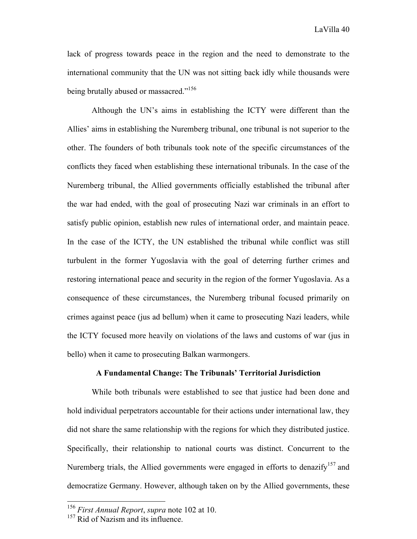LaVilla 40

lack of progress towards peace in the region and the need to demonstrate to the international community that the UN was not sitting back idly while thousands were being brutally abused or massacred."<sup>156</sup>

Although the UN's aims in establishing the ICTY were different than the Allies' aims in establishing the Nuremberg tribunal, one tribunal is not superior to the other. The founders of both tribunals took note of the specific circumstances of the conflicts they faced when establishing these international tribunals. In the case of the Nuremberg tribunal, the Allied governments officially established the tribunal after the war had ended, with the goal of prosecuting Nazi war criminals in an effort to satisfy public opinion, establish new rules of international order, and maintain peace. In the case of the ICTY, the UN established the tribunal while conflict was still turbulent in the former Yugoslavia with the goal of deterring further crimes and restoring international peace and security in the region of the former Yugoslavia. As a consequence of these circumstances, the Nuremberg tribunal focused primarily on crimes against peace (jus ad bellum) when it came to prosecuting Nazi leaders, while the ICTY focused more heavily on violations of the laws and customs of war (jus in bello) when it came to prosecuting Balkan warmongers.

# **A Fundamental Change: The Tribunals' Territorial Jurisdiction**

While both tribunals were established to see that justice had been done and hold individual perpetrators accountable for their actions under international law, they did not share the same relationship with the regions for which they distributed justice. Specifically, their relationship to national courts was distinct. Concurrent to the Nuremberg trials, the Allied governments were engaged in efforts to denazify<sup>157</sup> and democratize Germany. However, although taken on by the Allied governments, these

 <sup>156</sup> *First Annual Report*, *supra* note 102 at 10.

 $157$  Rid of Nazism and its influence.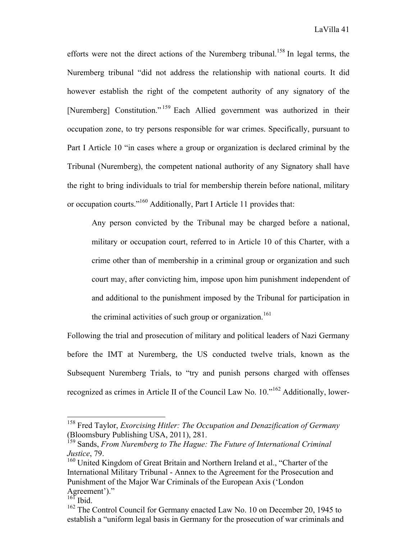efforts were not the direct actions of the Nuremberg tribunal.<sup>158</sup> In legal terms, the Nuremberg tribunal "did not address the relationship with national courts. It did however establish the right of the competent authority of any signatory of the [Nuremberg] Constitution."<sup>159</sup> Each Allied government was authorized in their occupation zone, to try persons responsible for war crimes. Specifically, pursuant to Part I Article 10 "in cases where a group or organization is declared criminal by the Tribunal (Nuremberg), the competent national authority of any Signatory shall have the right to bring individuals to trial for membership therein before national, military or occupation courts."<sup>160</sup> Additionally, Part I Article 11 provides that:

Any person convicted by the Tribunal may be charged before a national, military or occupation court, referred to in Article 10 of this Charter, with a crime other than of membership in a criminal group or organization and such court may, after convicting him, impose upon him punishment independent of and additional to the punishment imposed by the Tribunal for participation in the criminal activities of such group or organization.<sup>161</sup>

Following the trial and prosecution of military and political leaders of Nazi Germany before the IMT at Nuremberg, the US conducted twelve trials, known as the Subsequent Nuremberg Trials, to "try and punish persons charged with offenses recognized as crimes in Article II of the Council Law No. 10."<sup>162</sup> Additionally, lower-

 <sup>158</sup> Fred Taylor, *Exorcising Hitler: The Occupation and Denazification of Germany* (Bloomsbury Publishing USA, 2011), 281.

<sup>&</sup>lt;sup>159</sup> Sands, *From Nuremberg to The Hague: The Future of International Criminal Justice*, 79.

<sup>&</sup>lt;sup>160</sup> United Kingdom of Great Britain and Northern Ireland et al., "Charter of the International Military Tribunal - Annex to the Agreement for the Prosecution and Punishment of the Major War Criminals of the European Axis ('London Agreement')."

 $^{16\bar{1}}$  Ibid.

<sup>&</sup>lt;sup>162</sup> The Control Council for Germany enacted Law No. 10 on December 20, 1945 to establish a "uniform legal basis in Germany for the prosecution of war criminals and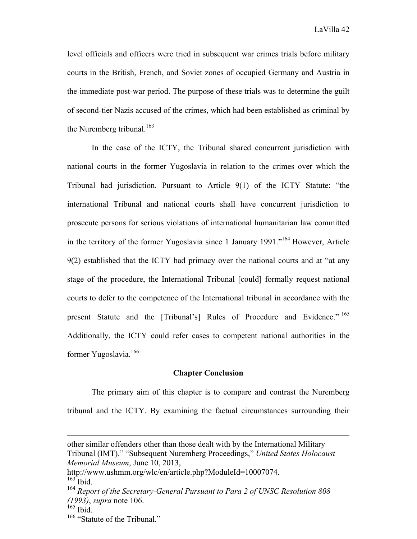level officials and officers were tried in subsequent war crimes trials before military courts in the British, French, and Soviet zones of occupied Germany and Austria in the immediate post-war period. The purpose of these trials was to determine the guilt of second-tier Nazis accused of the crimes, which had been established as criminal by the Nuremberg tribunal.<sup>163</sup>

In the case of the ICTY, the Tribunal shared concurrent jurisdiction with national courts in the former Yugoslavia in relation to the crimes over which the Tribunal had jurisdiction. Pursuant to Article 9(1) of the ICTY Statute: "the international Tribunal and national courts shall have concurrent jurisdiction to prosecute persons for serious violations of international humanitarian law committed in the territory of the former Yugoslavia since 1 January 1991."164 However, Article 9(2) established that the ICTY had primacy over the national courts and at "at any stage of the procedure, the International Tribunal [could] formally request national courts to defer to the competence of the International tribunal in accordance with the present Statute and the [Tribunal's] Rules of Procedure and Evidence."<sup>165</sup> Additionally, the ICTY could refer cases to competent national authorities in the former Yugoslavia.<sup>166</sup>

# **Chapter Conclusion**

The primary aim of this chapter is to compare and contrast the Nuremberg tribunal and the ICTY. By examining the factual circumstances surrounding their

<u> 1989 - Andrea Barbara, amerikan personal dan personal dan personal dan personal dan personal dan personal da</u>

other similar offenders other than those dealt with by the International Military Tribunal (IMT)." "Subsequent Nuremberg Proceedings," *United States Holocaust Memorial Museum*, June 10, 2013,

http://www.ushmm.org/wlc/en/article.php?ModuleId=10007074.  $163$  Ibid.

<sup>164</sup> *Report of the Secretary-General Pursuant to Para 2 of UNSC Resolution 808 (1993)*, *supra* note 106.

 $165$  Ibid.

<sup>&</sup>lt;sup>166</sup> "Statute of the Tribunal."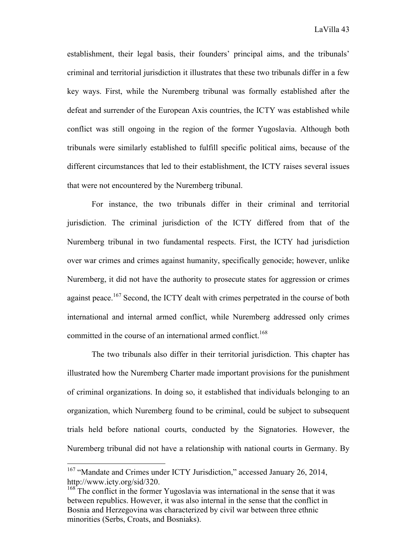establishment, their legal basis, their founders' principal aims, and the tribunals' criminal and territorial jurisdiction it illustrates that these two tribunals differ in a few key ways. First, while the Nuremberg tribunal was formally established after the defeat and surrender of the European Axis countries, the ICTY was established while conflict was still ongoing in the region of the former Yugoslavia. Although both tribunals were similarly established to fulfill specific political aims, because of the different circumstances that led to their establishment, the ICTY raises several issues that were not encountered by the Nuremberg tribunal.

For instance, the two tribunals differ in their criminal and territorial jurisdiction. The criminal jurisdiction of the ICTY differed from that of the Nuremberg tribunal in two fundamental respects. First, the ICTY had jurisdiction over war crimes and crimes against humanity, specifically genocide; however, unlike Nuremberg, it did not have the authority to prosecute states for aggression or crimes against peace.<sup>167</sup> Second, the ICTY dealt with crimes perpetrated in the course of both international and internal armed conflict, while Nuremberg addressed only crimes committed in the course of an international armed conflict.<sup>168</sup>

The two tribunals also differ in their territorial jurisdiction. This chapter has illustrated how the Nuremberg Charter made important provisions for the punishment of criminal organizations. In doing so, it established that individuals belonging to an organization, which Nuremberg found to be criminal, could be subject to subsequent trials held before national courts, conducted by the Signatories. However, the Nuremberg tribunal did not have a relationship with national courts in Germany. By

<sup>&</sup>lt;sup>167</sup> "Mandate and Crimes under ICTY Jurisdiction," accessed January 26, 2014, http://www.icty.org/sid/320.

<sup>&</sup>lt;sup>168</sup> The conflict in the former Yugoslavia was international in the sense that it was between republics. However, it was also internal in the sense that the conflict in Bosnia and Herzegovina was characterized by civil war between three ethnic minorities (Serbs, Croats, and Bosniaks).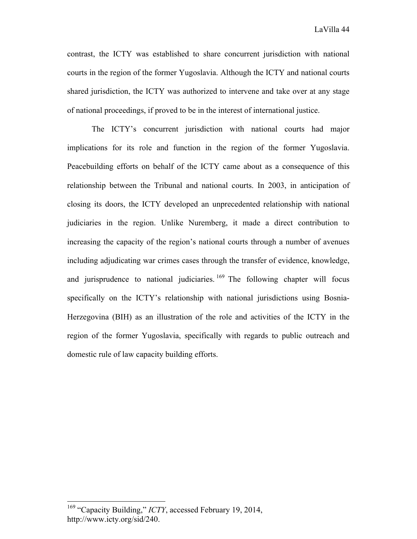contrast, the ICTY was established to share concurrent jurisdiction with national courts in the region of the former Yugoslavia. Although the ICTY and national courts shared jurisdiction, the ICTY was authorized to intervene and take over at any stage of national proceedings, if proved to be in the interest of international justice.

The ICTY's concurrent jurisdiction with national courts had major implications for its role and function in the region of the former Yugoslavia. Peacebuilding efforts on behalf of the ICTY came about as a consequence of this relationship between the Tribunal and national courts. In 2003, in anticipation of closing its doors, the ICTY developed an unprecedented relationship with national judiciaries in the region. Unlike Nuremberg, it made a direct contribution to increasing the capacity of the region's national courts through a number of avenues including adjudicating war crimes cases through the transfer of evidence, knowledge, and jurisprudence to national judiciaries.  $169$  The following chapter will focus specifically on the ICTY's relationship with national jurisdictions using Bosnia-Herzegovina (BIH) as an illustration of the role and activities of the ICTY in the region of the former Yugoslavia, specifically with regards to public outreach and domestic rule of law capacity building efforts.

<sup>&</sup>lt;sup>169</sup> "Capacity Building," *ICTY*, accessed February 19, 2014, http://www.icty.org/sid/240.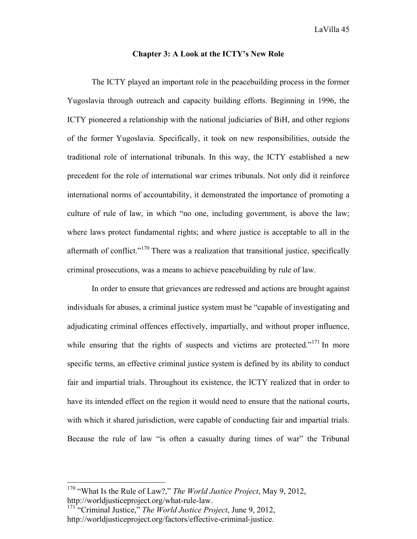# **Chapter 3: A Look at the ICTY's New Role**

The ICTY played an important role in the peacebuilding process in the former Yugoslavia through outreach and capacity building efforts. Beginning in 1996, the ICTY pioneered a relationship with the national judiciaries of BiH, and other regions of the former Yugoslavia. Specifically, it took on new responsibilities, outside the traditional role of international tribunals. In this way, the ICTY established a new precedent for the role of international war crimes tribunals. Not only did it reinforce international norms of accountability, it demonstrated the importance of promoting a culture of rule of law, in which "no one, including government, is above the law; where laws protect fundamental rights; and where justice is acceptable to all in the aftermath of conflict."<sup>170</sup> There was a realization that transitional justice, specifically criminal prosecutions, was a means to achieve peacebuilding by rule of law.

In order to ensure that grievances are redressed and actions are brought against individuals for abuses, a criminal justice system must be "capable of investigating and adjudicating criminal offences effectively, impartially, and without proper influence, while ensuring that the rights of suspects and victims are protected."<sup>171</sup> In more specific terms, an effective criminal justice system is defined by its ability to conduct fair and impartial trials. Throughout its existence, the ICTY realized that in order to have its intended effect on the region it would need to ensure that the national courts, with which it shared jurisdiction, were capable of conducting fair and impartial trials. Because the rule of law "is often a casualty during times of war" the Tribunal

 <sup>170</sup> "What Is the Rule of Law?," *The World Justice Project*, May 9, 2012, http://worldjusticeproject.org/what-rule-law.

<sup>171</sup> "Criminal Justice," *The World Justice Project*, June 9, 2012, http://worldjusticeproject.org/factors/effective-criminal-justice.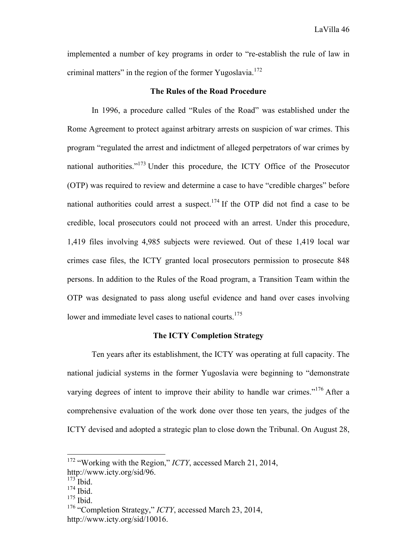implemented a number of key programs in order to "re-establish the rule of law in criminal matters" in the region of the former Yugoslavia.<sup>172</sup>

# **The Rules of the Road Procedure**

In 1996, a procedure called "Rules of the Road" was established under the Rome Agreement to protect against arbitrary arrests on suspicion of war crimes. This program "regulated the arrest and indictment of alleged perpetrators of war crimes by national authorities."<sup>173</sup> Under this procedure, the ICTY Office of the Prosecutor (OTP) was required to review and determine a case to have "credible charges" before national authorities could arrest a suspect.<sup>174</sup> If the OTP did not find a case to be credible, local prosecutors could not proceed with an arrest. Under this procedure, 1,419 files involving 4,985 subjects were reviewed. Out of these 1,419 local war crimes case files, the ICTY granted local prosecutors permission to prosecute 848 persons. In addition to the Rules of the Road program, a Transition Team within the OTP was designated to pass along useful evidence and hand over cases involving lower and immediate level cases to national courts.<sup>175</sup>

#### **The ICTY Completion Strategy**

Ten years after its establishment, the ICTY was operating at full capacity. The national judicial systems in the former Yugoslavia were beginning to "demonstrate varying degrees of intent to improve their ability to handle war crimes."<sup>176</sup> After a comprehensive evaluation of the work done over those ten years, the judges of the ICTY devised and adopted a strategic plan to close down the Tribunal. On August 28,

 <sup>172</sup> "Working with the Region," *ICTY*, accessed March 21, 2014, http://www.icty.org/sid/96.

 $173$  Ibid.  $174$  Ibid.

 $175$  Ibid.

<sup>176</sup> "Completion Strategy," *ICTY*, accessed March 23, 2014,

http://www.icty.org/sid/10016.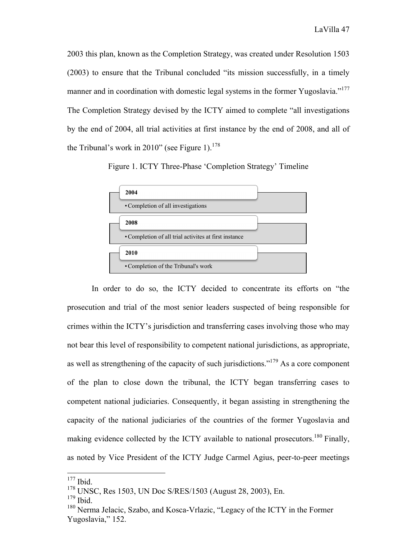2003 this plan, known as the Completion Strategy, was created under Resolution 1503 (2003) to ensure that the Tribunal concluded "its mission successfully, in a timely manner and in coordination with domestic legal systems in the former Yugoslavia."<sup>177</sup> The Completion Strategy devised by the ICTY aimed to complete "all investigations by the end of 2004, all trial activities at first instance by the end of 2008, and all of the Tribunal's work in 2010" (see Figure 1).<sup>178</sup>

Figure 1. ICTY Three-Phase 'Completion Strategy' Timeline



In order to do so, the ICTY decided to concentrate its efforts on "the prosecution and trial of the most senior leaders suspected of being responsible for crimes within the ICTY's jurisdiction and transferring cases involving those who may not bear this level of responsibility to competent national jurisdictions, as appropriate, as well as strengthening of the capacity of such jurisdictions."<sup>179</sup> As a core component of the plan to close down the tribunal, the ICTY began transferring cases to competent national judiciaries. Consequently, it began assisting in strengthening the capacity of the national judiciaries of the countries of the former Yugoslavia and making evidence collected by the ICTY available to national prosecutors.<sup>180</sup> Finally, as noted by Vice President of the ICTY Judge Carmel Agius, peer-to-peer meetings

 $177$  Ibid.

<sup>178</sup> UNSC, Res 1503, UN Doc S/RES/1503 (August 28, 2003), En.

 $179$  Ibid.

<sup>&</sup>lt;sup>180</sup> Nerma Jelacic, Szabo, and Kosca-Vrlazic, "Legacy of the ICTY in the Former Yugoslavia," 152.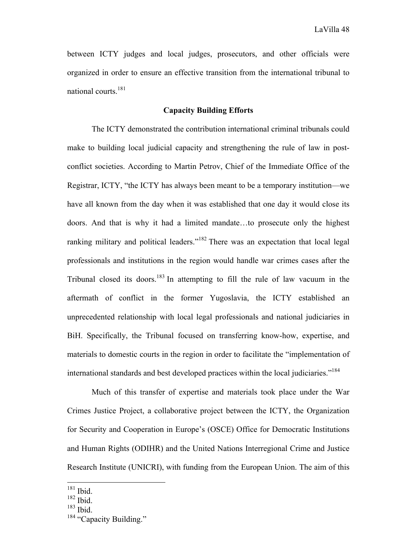between ICTY judges and local judges, prosecutors, and other officials were organized in order to ensure an effective transition from the international tribunal to national courts.181

# **Capacity Building Efforts**

The ICTY demonstrated the contribution international criminal tribunals could make to building local judicial capacity and strengthening the rule of law in postconflict societies. According to Martin Petrov, Chief of the Immediate Office of the Registrar, ICTY, "the ICTY has always been meant to be a temporary institution—we have all known from the day when it was established that one day it would close its doors. And that is why it had a limited mandate…to prosecute only the highest ranking military and political leaders."<sup>182</sup> There was an expectation that local legal professionals and institutions in the region would handle war crimes cases after the Tribunal closed its doors.<sup>183</sup> In attempting to fill the rule of law vacuum in the aftermath of conflict in the former Yugoslavia, the ICTY established an unprecedented relationship with local legal professionals and national judiciaries in BiH. Specifically, the Tribunal focused on transferring know-how, expertise, and materials to domestic courts in the region in order to facilitate the "implementation of international standards and best developed practices within the local judiciaries."<sup>184</sup>

Much of this transfer of expertise and materials took place under the War Crimes Justice Project, a collaborative project between the ICTY, the Organization for Security and Cooperation in Europe's (OSCE) Office for Democratic Institutions and Human Rights (ODIHR) and the United Nations Interregional Crime and Justice Research Institute (UNICRI), with funding from the European Union. The aim of this

 $181$  Ibid.

<sup>182</sup> Ibid.

 $183$  Ibid.

<sup>&</sup>lt;sup>184</sup> "Capacity Building."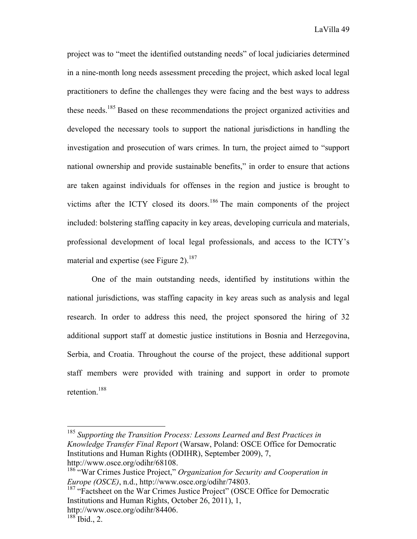project was to "meet the identified outstanding needs" of local judiciaries determined in a nine-month long needs assessment preceding the project, which asked local legal practitioners to define the challenges they were facing and the best ways to address these needs.185 Based on these recommendations the project organized activities and developed the necessary tools to support the national jurisdictions in handling the investigation and prosecution of wars crimes. In turn, the project aimed to "support national ownership and provide sustainable benefits," in order to ensure that actions are taken against individuals for offenses in the region and justice is brought to victims after the ICTY closed its doors.<sup>186</sup> The main components of the project included: bolstering staffing capacity in key areas, developing curricula and materials, professional development of local legal professionals, and access to the ICTY's material and expertise (see Figure 2).<sup>187</sup>

One of the main outstanding needs, identified by institutions within the national jurisdictions, was staffing capacity in key areas such as analysis and legal research. In order to address this need, the project sponsored the hiring of 32 additional support staff at domestic justice institutions in Bosnia and Herzegovina, Serbia, and Croatia. Throughout the course of the project, these additional support staff members were provided with training and support in order to promote retention<sup>188</sup>

 <sup>185</sup> *Supporting the Transition Process: Lessons Learned and Best Practices in Knowledge Transfer Final Report* (Warsaw, Poland: OSCE Office for Democratic Institutions and Human Rights (ODIHR), September 2009), 7, http://www.osce.org/odihr/68108.

<sup>186&</sup>lt;sup>-186</sup> "War Crimes Justice Project," Organization for Security and Cooperation in *Europe (OSCE)*, n.d., http://www.osce.org/odihr/74803.

<sup>&</sup>lt;sup>187</sup> "Factsheet on the War Crimes Justice Project" (OSCE Office for Democratic Institutions and Human Rights, October 26, 2011), 1, http://www.osce.org/odihr/84406.

 $188$  Ibid., 2.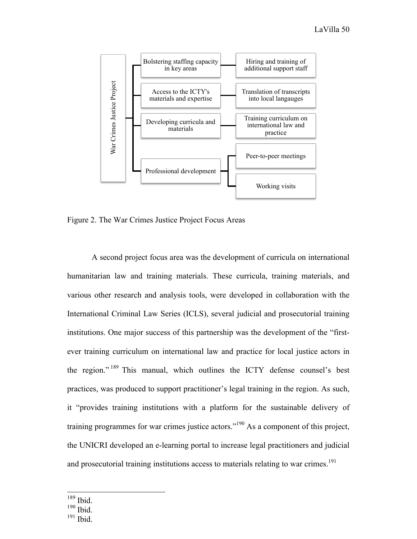

Figure 2. The War Crimes Justice Project Focus Areas

A second project focus area was the development of curricula on international humanitarian law and training materials. These curricula, training materials, and various other research and analysis tools, were developed in collaboration with the International Criminal Law Series (ICLS), several judicial and prosecutorial training institutions. One major success of this partnership was the development of the "firstever training curriculum on international law and practice for local justice actors in the region." <sup>189</sup> This manual, which outlines the ICTY defense counsel's best practices, was produced to support practitioner's legal training in the region. As such, it "provides training institutions with a platform for the sustainable delivery of training programmes for war crimes justice actors."<sup>190</sup> As a component of this project, the UNICRI developed an e-learning portal to increase legal practitioners and judicial and prosecutorial training institutions access to materials relating to war crimes.<sup>191</sup>

- <sup>189</sup> Ibid.
- $190$  Ibid.
- <sup>191</sup> Ibid.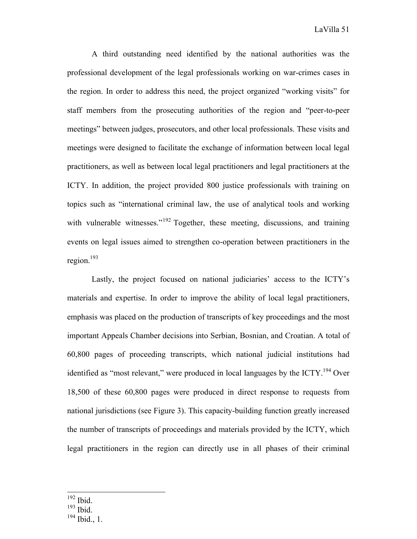A third outstanding need identified by the national authorities was the professional development of the legal professionals working on war-crimes cases in the region. In order to address this need, the project organized "working visits" for staff members from the prosecuting authorities of the region and "peer-to-peer meetings" between judges, prosecutors, and other local professionals. These visits and meetings were designed to facilitate the exchange of information between local legal practitioners, as well as between local legal practitioners and legal practitioners at the ICTY. In addition, the project provided 800 justice professionals with training on topics such as "international criminal law, the use of analytical tools and working with vulnerable witnesses."<sup>192</sup> Together, these meeting, discussions, and training events on legal issues aimed to strengthen co-operation between practitioners in the region.193

Lastly, the project focused on national judiciaries' access to the ICTY's materials and expertise. In order to improve the ability of local legal practitioners, emphasis was placed on the production of transcripts of key proceedings and the most important Appeals Chamber decisions into Serbian, Bosnian, and Croatian. A total of 60,800 pages of proceeding transcripts, which national judicial institutions had identified as "most relevant," were produced in local languages by the ICTY.<sup>194</sup> Over 18,500 of these 60,800 pages were produced in direct response to requests from national jurisdictions (see Figure 3). This capacity-building function greatly increased the number of transcripts of proceedings and materials provided by the ICTY, which legal practitioners in the region can directly use in all phases of their criminal

 <sup>192</sup> Ibid.

<sup>193</sup> Ibid.

<sup>194</sup> Ibid., 1.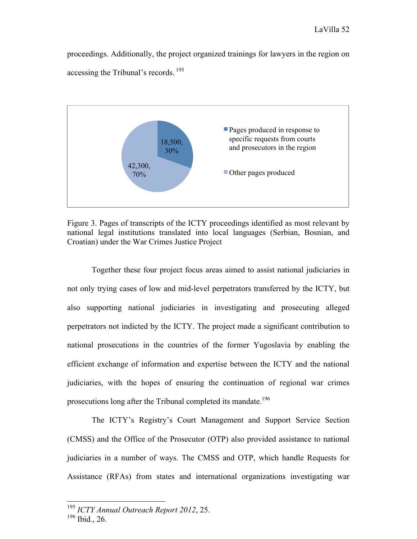proceedings. Additionally, the project organized trainings for lawyers in the region on accessing the Tribunal's records. <sup>195</sup>



Figure 3. Pages of transcripts of the ICTY proceedings identified as most relevant by national legal institutions translated into local languages (Serbian, Bosnian, and Croatian) under the War Crimes Justice Project

Together these four project focus areas aimed to assist national judiciaries in not only trying cases of low and mid-level perpetrators transferred by the ICTY, but also supporting national judiciaries in investigating and prosecuting alleged perpetrators not indicted by the ICTY. The project made a significant contribution to national prosecutions in the countries of the former Yugoslavia by enabling the efficient exchange of information and expertise between the ICTY and the national judiciaries, with the hopes of ensuring the continuation of regional war crimes prosecutions long after the Tribunal completed its mandate.<sup>196</sup>

The ICTY's Registry's Court Management and Support Service Section (CMSS) and the Office of the Prosecutor (OTP) also provided assistance to national judiciaries in a number of ways. The CMSS and OTP, which handle Requests for Assistance (RFAs) from states and international organizations investigating war

 <sup>195</sup> *ICTY Annual Outreach Report 2012*, 25.

<sup>196</sup> Ibid., 26.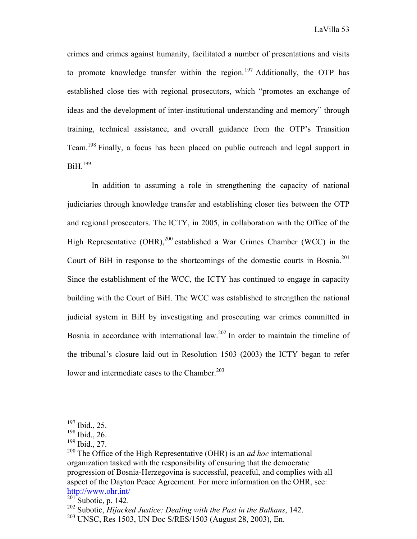crimes and crimes against humanity, facilitated a number of presentations and visits to promote knowledge transfer within the region.<sup>197</sup> Additionally, the OTP has established close ties with regional prosecutors, which "promotes an exchange of ideas and the development of inter-institutional understanding and memory" through training, technical assistance, and overall guidance from the OTP's Transition Team.198 Finally, a focus has been placed on public outreach and legal support in  $BiH.<sup>199</sup>$ 

In addition to assuming a role in strengthening the capacity of national judiciaries through knowledge transfer and establishing closer ties between the OTP and regional prosecutors. The ICTY, in 2005, in collaboration with the Office of the High Representative (OHR),<sup>200</sup> established a War Crimes Chamber (WCC) in the Court of BiH in response to the shortcomings of the domestic courts in Bosnia.<sup>201</sup> Since the establishment of the WCC, the ICTY has continued to engage in capacity building with the Court of BiH. The WCC was established to strengthen the national judicial system in BiH by investigating and prosecuting war crimes committed in Bosnia in accordance with international law.<sup>202</sup> In order to maintain the timeline of the tribunal's closure laid out in Resolution 1503 (2003) the ICTY began to refer lower and intermediate cases to the Chamber. $203$ 

 <sup>197</sup> Ibid., 25.

 $198$  Ibid., 26.

<sup>199</sup> Ibid., 27.

<sup>200</sup> The Office of the High Representative (OHR) is an *ad hoc* international organization tasked with the responsibility of ensuring that the democratic progression of Bosnia-Herzegovina is successful, peaceful, and complies with all aspect of the Dayton Peace Agreement. For more information on the OHR, see: http://www.ohr.int/

 $\overline{^{201}}$ Subotic, p. 142.

<sup>202</sup> Subotic, *Hijacked Justice: Dealing with the Past in the Balkans*, 142.

<sup>203</sup> UNSC, Res 1503, UN Doc S/RES/1503 (August 28, 2003), En.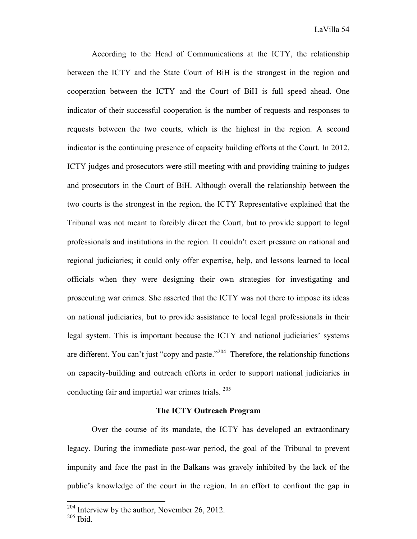According to the Head of Communications at the ICTY, the relationship between the ICTY and the State Court of BiH is the strongest in the region and cooperation between the ICTY and the Court of BiH is full speed ahead. One indicator of their successful cooperation is the number of requests and responses to requests between the two courts, which is the highest in the region. A second indicator is the continuing presence of capacity building efforts at the Court. In 2012, ICTY judges and prosecutors were still meeting with and providing training to judges and prosecutors in the Court of BiH. Although overall the relationship between the two courts is the strongest in the region, the ICTY Representative explained that the Tribunal was not meant to forcibly direct the Court, but to provide support to legal professionals and institutions in the region. It couldn't exert pressure on national and regional judiciaries; it could only offer expertise, help, and lessons learned to local officials when they were designing their own strategies for investigating and prosecuting war crimes. She asserted that the ICTY was not there to impose its ideas on national judiciaries, but to provide assistance to local legal professionals in their legal system. This is important because the ICTY and national judiciaries' systems are different. You can't just "copy and paste."<sup>204</sup> Therefore, the relationship functions on capacity-building and outreach efforts in order to support national judiciaries in conducting fair and impartial war crimes trials. 205

### **The ICTY Outreach Program**

Over the course of its mandate, the ICTY has developed an extraordinary legacy. During the immediate post-war period, the goal of the Tribunal to prevent impunity and face the past in the Balkans was gravely inhibited by the lack of the public's knowledge of the court in the region. In an effort to confront the gap in

<sup>&</sup>lt;sup>204</sup> Interview by the author, November 26, 2012.

 $205$  Ibid.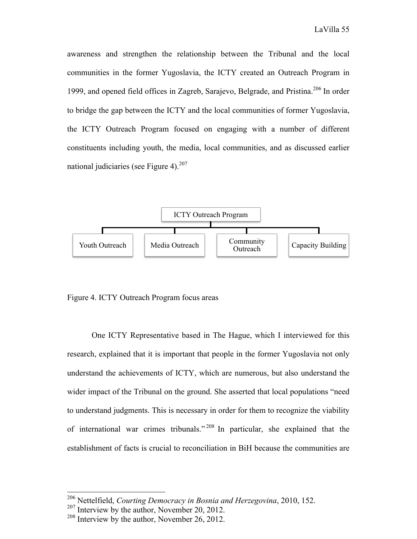awareness and strengthen the relationship between the Tribunal and the local communities in the former Yugoslavia, the ICTY created an Outreach Program in 1999, and opened field offices in Zagreb, Sarajevo, Belgrade, and Pristina.<sup>206</sup> In order to bridge the gap between the ICTY and the local communities of former Yugoslavia, the ICTY Outreach Program focused on engaging with a number of different constituents including youth, the media, local communities, and as discussed earlier national judiciaries (see Figure 4).<sup>207</sup>



Figure 4. ICTY Outreach Program focus areas

One ICTY Representative based in The Hague, which I interviewed for this research, explained that it is important that people in the former Yugoslavia not only understand the achievements of ICTY, which are numerous, but also understand the wider impact of the Tribunal on the ground. She asserted that local populations "need to understand judgments. This is necessary in order for them to recognize the viability of international war crimes tribunals." <sup>208</sup> In particular, she explained that the establishment of facts is crucial to reconciliation in BiH because the communities are

 <sup>206</sup> Nettelfield, *Courting Democracy in Bosnia and Herzegovina*, 2010, 152.

<sup>&</sup>lt;sup>207</sup> Interview by the author, November 20, 2012.

 $208$  Interview by the author, November 26, 2012.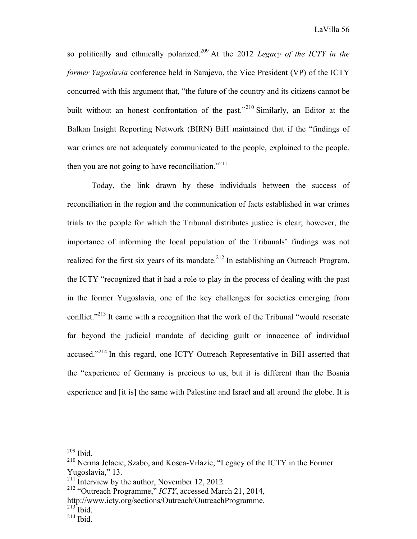so politically and ethnically polarized.<sup>209</sup> At the 2012 *Legacy of the ICTY in the former Yugoslavia* conference held in Sarajevo, the Vice President (VP) of the ICTY concurred with this argument that, "the future of the country and its citizens cannot be built without an honest confrontation of the past."<sup>210</sup> Similarly, an Editor at the Balkan Insight Reporting Network (BIRN) BiH maintained that if the "findings of war crimes are not adequately communicated to the people, explained to the people, then you are not going to have reconciliation."<sup>211</sup>

Today, the link drawn by these individuals between the success of reconciliation in the region and the communication of facts established in war crimes trials to the people for which the Tribunal distributes justice is clear; however, the importance of informing the local population of the Tribunals' findings was not realized for the first six years of its mandate.<sup>212</sup> In establishing an Outreach Program, the ICTY "recognized that it had a role to play in the process of dealing with the past in the former Yugoslavia, one of the key challenges for societies emerging from conflict."<sup>213</sup> It came with a recognition that the work of the Tribunal "would resonate" far beyond the judicial mandate of deciding guilt or innocence of individual accused."<sup>214</sup> In this regard, one ICTY Outreach Representative in BiH asserted that the "experience of Germany is precious to us, but it is different than the Bosnia experience and [it is] the same with Palestine and Israel and all around the globe. It is

 $213$  Ibid.

 <sup>209</sup> Ibid.

<sup>210</sup> Nerma Jelacic, Szabo, and Kosca-Vrlazic, "Legacy of the ICTY in the Former Yugoslavia," 13.

 $211$  Interview by the author, November 12, 2012.

<sup>212</sup> "Outreach Programme," *ICTY*, accessed March 21, 2014,

http://www.icty.org/sections/Outreach/OutreachProgramme.

<sup>214</sup> Ibid.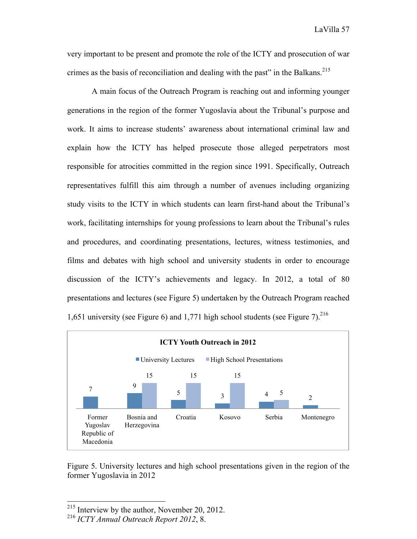very important to be present and promote the role of the ICTY and prosecution of war crimes as the basis of reconciliation and dealing with the past" in the Balkans.<sup>215</sup>

A main focus of the Outreach Program is reaching out and informing younger generations in the region of the former Yugoslavia about the Tribunal's purpose and work. It aims to increase students' awareness about international criminal law and explain how the ICTY has helped prosecute those alleged perpetrators most responsible for atrocities committed in the region since 1991. Specifically, Outreach representatives fulfill this aim through a number of avenues including organizing study visits to the ICTY in which students can learn first-hand about the Tribunal's work, facilitating internships for young professions to learn about the Tribunal's rules and procedures, and coordinating presentations, lectures, witness testimonies, and films and debates with high school and university students in order to encourage discussion of the ICTY's achievements and legacy. In 2012, a total of 80 presentations and lectures (see Figure 5) undertaken by the Outreach Program reached 1,651 university (see Figure 6) and 1,771 high school students (see Figure 7). 216



Figure 5. University lectures and high school presentations given in the region of the former Yugoslavia in 2012

 <sup>215</sup> Interview by the author, November 20, 2012.

<sup>216</sup> *ICTY Annual Outreach Report 2012*, 8.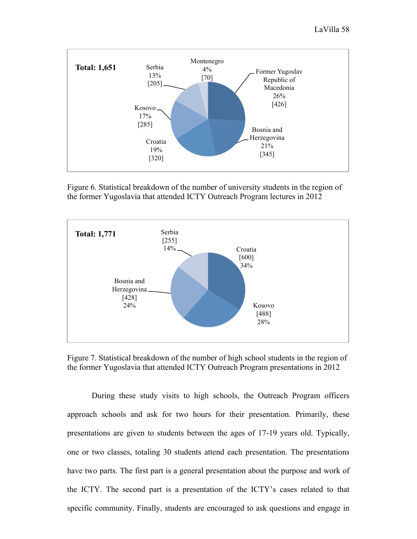

Figure 6. Statistical breakdown of the number of university students in the region of the former Yugoslavia that attended ICTY Outreach Program lectures in 2012



Figure 7. Statistical breakdown of the number of high school students in the region of the former Yugoslavia that attended ICTY Outreach Program presentations in 2012

During these study visits to high schools, the Outreach Program officers approach schools and ask for two hours for their presentation. Primarily, these presentations are given to students between the ages of 17-19 years old. Typically, one or two classes, totaling 30 students attend each presentation. The presentations have two parts. The first part is a general presentation about the purpose and work of the ICTY. The second part is a presentation of the ICTY's cases related to that specific community. Finally, students are encouraged to ask questions and engage in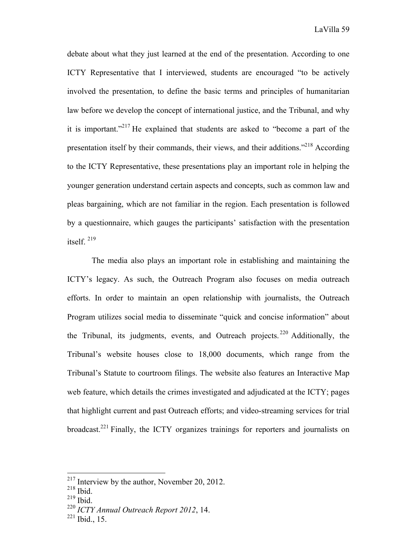debate about what they just learned at the end of the presentation. According to one ICTY Representative that I interviewed, students are encouraged "to be actively involved the presentation, to define the basic terms and principles of humanitarian law before we develop the concept of international justice, and the Tribunal, and why it is important."<sup>217</sup> He explained that students are asked to "become a part of the presentation itself by their commands, their views, and their additions."<sup>218</sup> According to the ICTY Representative, these presentations play an important role in helping the younger generation understand certain aspects and concepts, such as common law and pleas bargaining, which are not familiar in the region. Each presentation is followed by a questionnaire, which gauges the participants' satisfaction with the presentation itself. <sup>219</sup>

The media also plays an important role in establishing and maintaining the ICTY's legacy. As such, the Outreach Program also focuses on media outreach efforts. In order to maintain an open relationship with journalists, the Outreach Program utilizes social media to disseminate "quick and concise information" about the Tribunal, its judgments, events, and Outreach projects.  $220$  Additionally, the Tribunal's website houses close to 18,000 documents, which range from the Tribunal's Statute to courtroom filings. The website also features an Interactive Map web feature, which details the crimes investigated and adjudicated at the ICTY; pages that highlight current and past Outreach efforts; and video-streaming services for trial broadcast.221 Finally, the ICTY organizes trainings for reporters and journalists on

 <sup>217</sup> Interview by the author, November 20, 2012.

<sup>218</sup> Ibid.

 $219$  Ibid.

<sup>220</sup> *ICTY Annual Outreach Report 2012*, 14.

<sup>221</sup> Ibid., 15.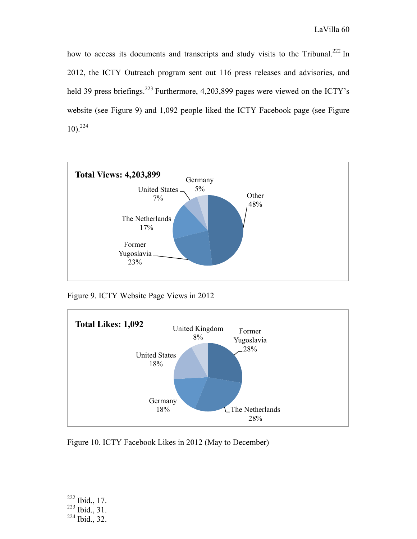how to access its documents and transcripts and study visits to the Tribunal.<sup>222</sup> In 2012, the ICTY Outreach program sent out 116 press releases and advisories, and held 39 press briefings.<sup>223</sup> Furthermore, 4,203,899 pages were viewed on the ICTY's website (see Figure 9) and 1,092 people liked the ICTY Facebook page (see Figure 10). 224



Figure 9. ICTY Website Page Views in 2012



Figure 10. ICTY Facebook Likes in 2012 (May to December)

 <sup>222</sup> Ibid., 17.

 $223$  Ibid., 31.

 $224$  Ibid., 32.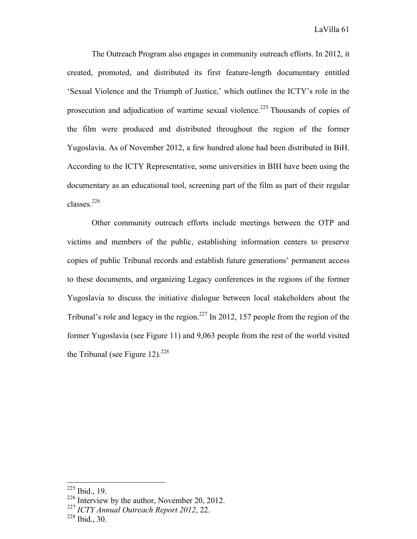The Outreach Program also engages in community outreach efforts. In 2012, it created, promoted, and distributed its first feature-length documentary entitled 'Sexual Violence and the Triumph of Justice,' which outlines the ICTY's role in the prosecution and adjudication of wartime sexual violence.<sup>225</sup> Thousands of copies of the film were produced and distributed throughout the region of the former Yugoslavia. As of November 2012, a few hundred alone had been distributed in BiH. According to the ICTY Representative, some universities in BIH have been using the documentary as an educational tool, screening part of the film as part of their regular classes.226

Other community outreach efforts include meetings between the OTP and victims and members of the public, establishing information centers to preserve copies of public Tribunal records and establish future generations' permanent access to these documents, and organizing Legacy conferences in the regions of the former Yugoslavia to discuss the initiative dialogue between local stakeholders about the Tribunal's role and legacy in the region.<sup>227</sup> In 2012, 157 people from the region of the former Yugoslavia (see Figure 11) and 9,063 people from the rest of the world visited the Tribunal (see Figure 12).<sup>228</sup>

 <sup>225</sup> Ibid., 19.

<sup>&</sup>lt;sup>226</sup> Interview by the author, November 20, 2012.

<sup>227</sup> *ICTY Annual Outreach Report 2012*, 22.

<sup>228</sup> Ibid., 30.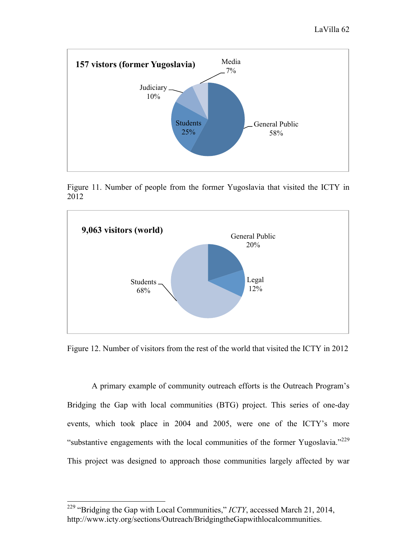

Figure 11. Number of people from the former Yugoslavia that visited the ICTY in 2012



Figure 12. Number of visitors from the rest of the world that visited the ICTY in 2012

A primary example of community outreach efforts is the Outreach Program's Bridging the Gap with local communities (BTG) project. This series of one-day events, which took place in 2004 and 2005, were one of the ICTY's more "substantive engagements with the local communities of the former Yugoslavia."<sup>229</sup> This project was designed to approach those communities largely affected by war

 <sup>229</sup> "Bridging the Gap with Local Communities," *ICTY*, accessed March 21, 2014, http://www.icty.org/sections/Outreach/BridgingtheGapwithlocalcommunities.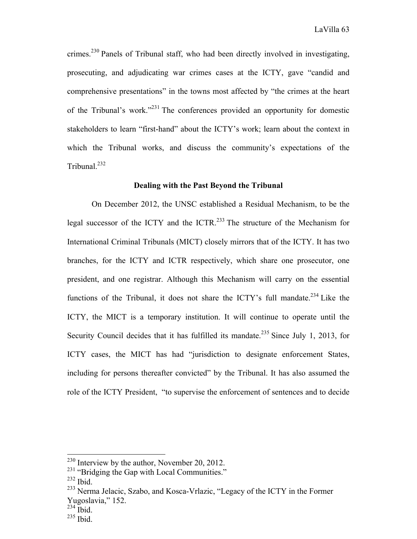crimes.<sup>230</sup> Panels of Tribunal staff, who had been directly involved in investigating, prosecuting, and adjudicating war crimes cases at the ICTY, gave "candid and comprehensive presentations" in the towns most affected by "the crimes at the heart of the Tribunal's work."231 The conferences provided an opportunity for domestic stakeholders to learn "first-hand" about the ICTY's work; learn about the context in which the Tribunal works, and discuss the community's expectations of the Tribunal. $^{232}$ 

# **Dealing with the Past Beyond the Tribunal**

On December 2012, the UNSC established a Residual Mechanism, to be the legal successor of the ICTY and the ICTR.<sup>233</sup> The structure of the Mechanism for International Criminal Tribunals (MICT) closely mirrors that of the ICTY. It has two branches, for the ICTY and ICTR respectively, which share one prosecutor, one president, and one registrar. Although this Mechanism will carry on the essential functions of the Tribunal, it does not share the ICTY's full mandate.<sup>234</sup> Like the ICTY, the MICT is a temporary institution. It will continue to operate until the Security Council decides that it has fulfilled its mandate.<sup>235</sup> Since July 1, 2013, for ICTY cases, the MICT has had "jurisdiction to designate enforcement States, including for persons thereafter convicted" by the Tribunal. It has also assumed the role of the ICTY President, "to supervise the enforcement of sentences and to decide

 <sup>230</sup> Interview by the author, November 20, 2012.

<sup>&</sup>lt;sup>231</sup> "Bridging the Gap with Local Communities."

 $232$  Ibid.

<sup>&</sup>lt;sup>233</sup> Nerma Jelacic, Szabo, and Kosca-Vrlazic, "Legacy of the ICTY in the Former Yugoslavia," 152.

 $^{234}$  Ibid.

<sup>235</sup> Ibid.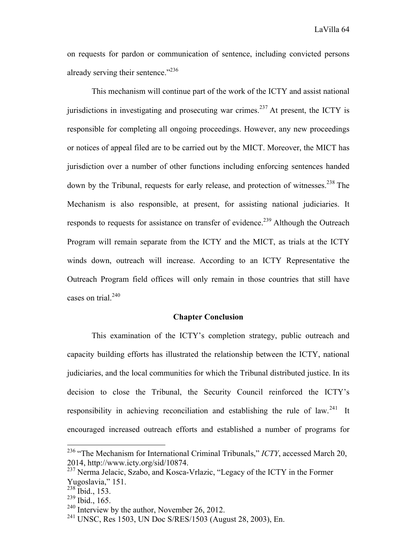on requests for pardon or communication of sentence, including convicted persons already serving their sentence."<sup>236</sup>

This mechanism will continue part of the work of the ICTY and assist national jurisdictions in investigating and prosecuting war crimes.<sup>237</sup> At present, the ICTY is responsible for completing all ongoing proceedings. However, any new proceedings or notices of appeal filed are to be carried out by the MICT. Moreover, the MICT has jurisdiction over a number of other functions including enforcing sentences handed down by the Tribunal, requests for early release, and protection of witnesses.<sup>238</sup> The Mechanism is also responsible, at present, for assisting national judiciaries. It responds to requests for assistance on transfer of evidence.<sup>239</sup> Although the Outreach Program will remain separate from the ICTY and the MICT, as trials at the ICTY winds down, outreach will increase. According to an ICTY Representative the Outreach Program field offices will only remain in those countries that still have cases on trial. $240$ 

# **Chapter Conclusion**

This examination of the ICTY's completion strategy, public outreach and capacity building efforts has illustrated the relationship between the ICTY, national judiciaries, and the local communities for which the Tribunal distributed justice. In its decision to close the Tribunal, the Security Council reinforced the ICTY's responsibility in achieving reconciliation and establishing the rule of law.<sup>241</sup> It encouraged increased outreach efforts and established a number of programs for

 <sup>236</sup> "The Mechanism for International Criminal Tribunals," *ICTY*, accessed March 20, 2014, http://www.icty.org/sid/10874.

<sup>237</sup> Nerma Jelacic, Szabo, and Kosca-Vrlazic, "Legacy of the ICTY in the Former Yugoslavia," 151.

 $^{238}$  Ibid., 153.

 $^{239}$  Ibid., 165.

<sup>&</sup>lt;sup>240</sup> Interview by the author, November 26, 2012.

<sup>241</sup> UNSC, Res 1503, UN Doc S/RES/1503 (August 28, 2003), En.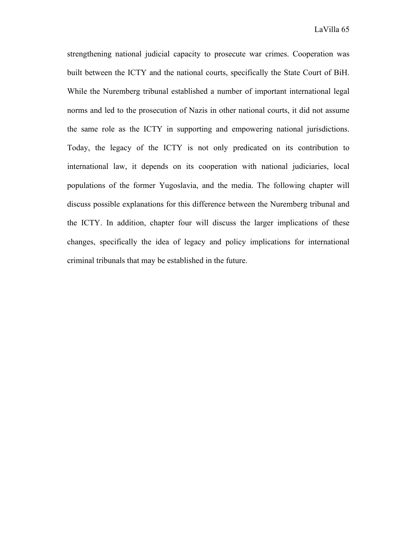strengthening national judicial capacity to prosecute war crimes. Cooperation was built between the ICTY and the national courts, specifically the State Court of BiH. While the Nuremberg tribunal established a number of important international legal norms and led to the prosecution of Nazis in other national courts, it did not assume the same role as the ICTY in supporting and empowering national jurisdictions. Today, the legacy of the ICTY is not only predicated on its contribution to international law, it depends on its cooperation with national judiciaries, local populations of the former Yugoslavia, and the media. The following chapter will discuss possible explanations for this difference between the Nuremberg tribunal and the ICTY. In addition, chapter four will discuss the larger implications of these changes, specifically the idea of legacy and policy implications for international criminal tribunals that may be established in the future.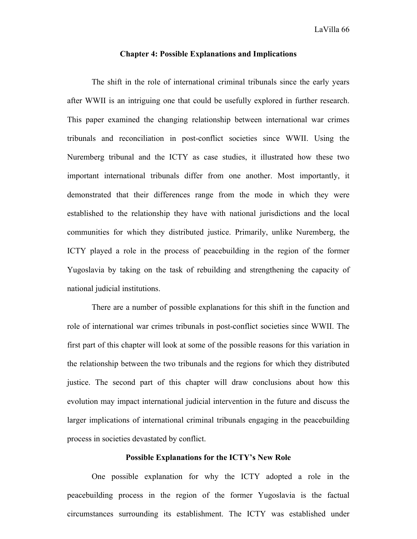# LaVilla 66

#### **Chapter 4: Possible Explanations and Implications**

The shift in the role of international criminal tribunals since the early years after WWII is an intriguing one that could be usefully explored in further research. This paper examined the changing relationship between international war crimes tribunals and reconciliation in post-conflict societies since WWII. Using the Nuremberg tribunal and the ICTY as case studies, it illustrated how these two important international tribunals differ from one another. Most importantly, it demonstrated that their differences range from the mode in which they were established to the relationship they have with national jurisdictions and the local communities for which they distributed justice. Primarily, unlike Nuremberg, the ICTY played a role in the process of peacebuilding in the region of the former Yugoslavia by taking on the task of rebuilding and strengthening the capacity of national judicial institutions.

There are a number of possible explanations for this shift in the function and role of international war crimes tribunals in post-conflict societies since WWII. The first part of this chapter will look at some of the possible reasons for this variation in the relationship between the two tribunals and the regions for which they distributed justice. The second part of this chapter will draw conclusions about how this evolution may impact international judicial intervention in the future and discuss the larger implications of international criminal tribunals engaging in the peacebuilding process in societies devastated by conflict.

# **Possible Explanations for the ICTY's New Role**

One possible explanation for why the ICTY adopted a role in the peacebuilding process in the region of the former Yugoslavia is the factual circumstances surrounding its establishment. The ICTY was established under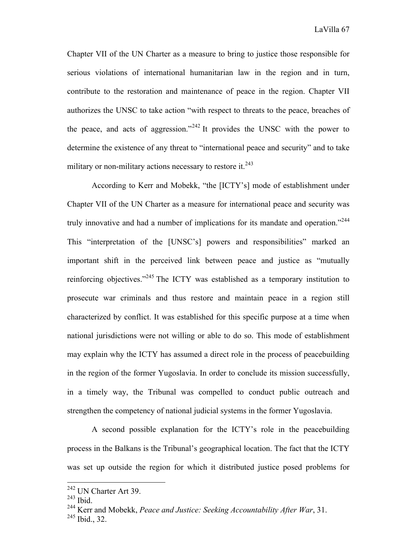Chapter VII of the UN Charter as a measure to bring to justice those responsible for serious violations of international humanitarian law in the region and in turn, contribute to the restoration and maintenance of peace in the region. Chapter VII authorizes the UNSC to take action "with respect to threats to the peace, breaches of the peace, and acts of aggression."<sup>242</sup> It provides the UNSC with the power to determine the existence of any threat to "international peace and security" and to take military or non-military actions necessary to restore it. $243$ 

According to Kerr and Mobekk, "the [ICTY's] mode of establishment under Chapter VII of the UN Charter as a measure for international peace and security was truly innovative and had a number of implications for its mandate and operation."<sup>244</sup> This "interpretation of the [UNSC's] powers and responsibilities" marked an important shift in the perceived link between peace and justice as "mutually reinforcing objectives."<sup>245</sup> The ICTY was established as a temporary institution to prosecute war criminals and thus restore and maintain peace in a region still characterized by conflict. It was established for this specific purpose at a time when national jurisdictions were not willing or able to do so. This mode of establishment may explain why the ICTY has assumed a direct role in the process of peacebuilding in the region of the former Yugoslavia. In order to conclude its mission successfully, in a timely way, the Tribunal was compelled to conduct public outreach and strengthen the competency of national judicial systems in the former Yugoslavia.

A second possible explanation for the ICTY's role in the peacebuilding process in the Balkans is the Tribunal's geographical location. The fact that the ICTY was set up outside the region for which it distributed justice posed problems for

 <sup>242</sup> UN Charter Art 39.

<sup>243</sup> Ibid.

<sup>&</sup>lt;sup>244</sup> Kerr and Mobekk, *Peace and Justice: Seeking Accountability After War*, 31.<br><sup>245</sup> Ibid., 32.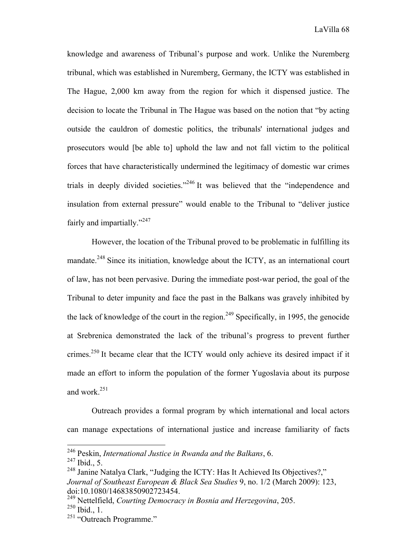knowledge and awareness of Tribunal's purpose and work. Unlike the Nuremberg tribunal, which was established in Nuremberg, Germany, the ICTY was established in The Hague, 2,000 km away from the region for which it dispensed justice. The decision to locate the Tribunal in The Hague was based on the notion that "by acting outside the cauldron of domestic politics, the tribunals' international judges and prosecutors would [be able to] uphold the law and not fall victim to the political forces that have characteristically undermined the legitimacy of domestic war crimes trials in deeply divided societies."<sup>246</sup> It was believed that the "independence and insulation from external pressure" would enable to the Tribunal to "deliver justice fairly and impartially."<sup>247</sup>

However, the location of the Tribunal proved to be problematic in fulfilling its mandate.<sup>248</sup> Since its initiation, knowledge about the ICTY, as an international court of law, has not been pervasive. During the immediate post-war period, the goal of the Tribunal to deter impunity and face the past in the Balkans was gravely inhibited by the lack of knowledge of the court in the region.<sup>249</sup> Specifically, in 1995, the genocide at Srebrenica demonstrated the lack of the tribunal's progress to prevent further crimes.<sup>250</sup> It became clear that the ICTY would only achieve its desired impact if it made an effort to inform the population of the former Yugoslavia about its purpose and work.<sup>251</sup>

Outreach provides a formal program by which international and local actors can manage expectations of international justice and increase familiarity of facts

 <sup>246</sup> Peskin, *International Justice in Rwanda and the Balkans*, 6.

 $^{247}$  Ibid., 5.

<sup>&</sup>lt;sup>248</sup> Janine Natalya Clark, "Judging the ICTY: Has It Achieved Its Objectives?," *Journal of Southeast European & Black Sea Studies* 9, no. 1/2 (March 2009): 123, doi:10.1080/14683850902723454.

<sup>249</sup> Nettelfield, *Courting Democracy in Bosnia and Herzegovina*, 205. <sup>250</sup> Ibid., 1.

<sup>&</sup>lt;sup>251</sup> "Outreach Programme."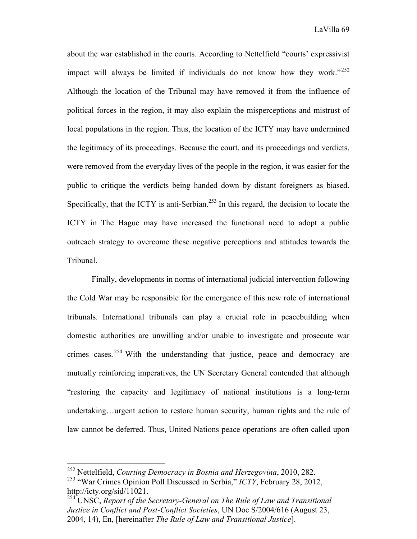about the war established in the courts. According to Nettelfield "courts' expressivist impact will always be limited if individuals do not know how they work."<sup>252</sup> Although the location of the Tribunal may have removed it from the influence of political forces in the region, it may also explain the misperceptions and mistrust of local populations in the region. Thus, the location of the ICTY may have undermined the legitimacy of its proceedings. Because the court, and its proceedings and verdicts, were removed from the everyday lives of the people in the region, it was easier for the public to critique the verdicts being handed down by distant foreigners as biased. Specifically, that the ICTY is anti-Serbian.<sup>253</sup> In this regard, the decision to locate the ICTY in The Hague may have increased the functional need to adopt a public outreach strategy to overcome these negative perceptions and attitudes towards the Tribunal.

Finally, developments in norms of international judicial intervention following the Cold War may be responsible for the emergence of this new role of international tribunals. International tribunals can play a crucial role in peacebuilding when domestic authorities are unwilling and/or unable to investigate and prosecute war crimes cases. <sup>254</sup> With the understanding that justice, peace and democracy are mutually reinforcing imperatives, the UN Secretary General contended that although "restoring the capacity and legitimacy of national institutions is a long-term undertaking…urgent action to restore human security, human rights and the rule of law cannot be deferred. Thus, United Nations peace operations are often called upon

 <sup>252</sup> Nettelfield, *Courting Democracy in Bosnia and Herzegovina*, 2010, 282.

<sup>253</sup> "War Crimes Opinion Poll Discussed in Serbia," *ICTY*, February 28, 2012, http://icty.org/sid/11021.

<sup>254</sup> UNSC, *Report of the Secretary-General on The Rule of Law and Transitional Justice in Conflict and Post-Conflict Societies*, UN Doc S/2004/616 (August 23, 2004, 14), En, [hereinafter *The Rule of Law and Transitional Justice*].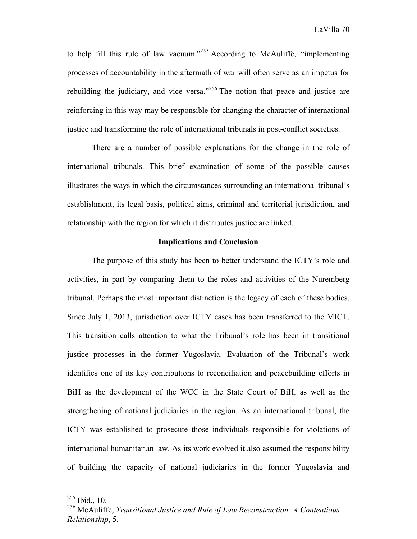to help fill this rule of law vacuum."<sup>255</sup> According to McAuliffe, "implementing processes of accountability in the aftermath of war will often serve as an impetus for rebuilding the judiciary, and vice versa."<sup>256</sup> The notion that peace and justice are reinforcing in this way may be responsible for changing the character of international justice and transforming the role of international tribunals in post-conflict societies.

There are a number of possible explanations for the change in the role of international tribunals. This brief examination of some of the possible causes illustrates the ways in which the circumstances surrounding an international tribunal's establishment, its legal basis, political aims, criminal and territorial jurisdiction, and relationship with the region for which it distributes justice are linked.

## **Implications and Conclusion**

The purpose of this study has been to better understand the ICTY's role and activities, in part by comparing them to the roles and activities of the Nuremberg tribunal. Perhaps the most important distinction is the legacy of each of these bodies. Since July 1, 2013, jurisdiction over ICTY cases has been transferred to the MICT. This transition calls attention to what the Tribunal's role has been in transitional justice processes in the former Yugoslavia. Evaluation of the Tribunal's work identifies one of its key contributions to reconciliation and peacebuilding efforts in BiH as the development of the WCC in the State Court of BiH, as well as the strengthening of national judiciaries in the region. As an international tribunal, the ICTY was established to prosecute those individuals responsible for violations of international humanitarian law. As its work evolved it also assumed the responsibility of building the capacity of national judiciaries in the former Yugoslavia and

 <sup>255</sup> Ibid., 10.

<sup>256</sup> McAuliffe, *Transitional Justice and Rule of Law Reconstruction: A Contentious Relationship*, 5.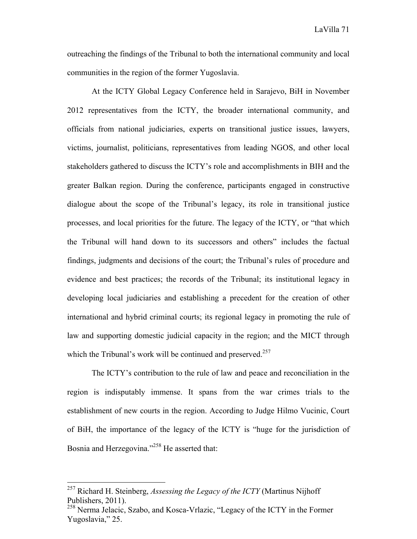outreaching the findings of the Tribunal to both the international community and local communities in the region of the former Yugoslavia.

At the ICTY Global Legacy Conference held in Sarajevo, BiH in November 2012 representatives from the ICTY, the broader international community, and officials from national judiciaries, experts on transitional justice issues, lawyers, victims, journalist, politicians, representatives from leading NGOS, and other local stakeholders gathered to discuss the ICTY's role and accomplishments in BIH and the greater Balkan region. During the conference, participants engaged in constructive dialogue about the scope of the Tribunal's legacy, its role in transitional justice processes, and local priorities for the future. The legacy of the ICTY, or "that which the Tribunal will hand down to its successors and others" includes the factual findings, judgments and decisions of the court; the Tribunal's rules of procedure and evidence and best practices; the records of the Tribunal; its institutional legacy in developing local judiciaries and establishing a precedent for the creation of other international and hybrid criminal courts; its regional legacy in promoting the rule of law and supporting domestic judicial capacity in the region; and the MICT through which the Tribunal's work will be continued and preserved.<sup>257</sup>

The ICTY's contribution to the rule of law and peace and reconciliation in the region is indisputably immense. It spans from the war crimes trials to the establishment of new courts in the region. According to Judge Hilmo Vucinic, Court of BiH, the importance of the legacy of the ICTY is "huge for the jurisdiction of Bosnia and Herzegovina."258 He asserted that:

 <sup>257</sup> Richard H. Steinberg, *Assessing the Legacy of the ICTY* (Martinus Nijhoff Publishers, 2011).

<sup>258</sup> Nerma Jelacic, Szabo, and Kosca-Vrlazic, "Legacy of the ICTY in the Former Yugoslavia," 25.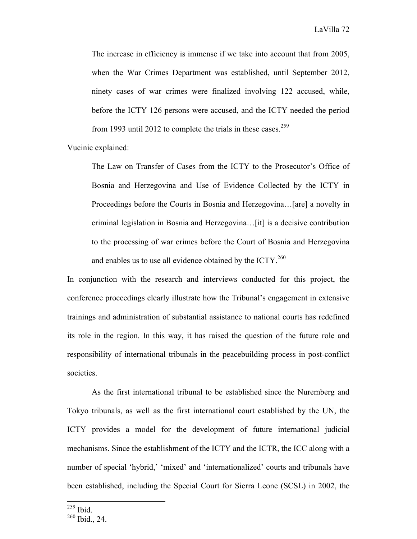The increase in efficiency is immense if we take into account that from 2005, when the War Crimes Department was established, until September 2012, ninety cases of war crimes were finalized involving 122 accused, while, before the ICTY 126 persons were accused, and the ICTY needed the period from 1993 until 2012 to complete the trials in these cases.<sup>259</sup>

Vucinic explained:

The Law on Transfer of Cases from the ICTY to the Prosecutor's Office of Bosnia and Herzegovina and Use of Evidence Collected by the ICTY in Proceedings before the Courts in Bosnia and Herzegovina…[are] a novelty in criminal legislation in Bosnia and Herzegovina…[it] is a decisive contribution to the processing of war crimes before the Court of Bosnia and Herzegovina and enables us to use all evidence obtained by the ICTY.<sup>260</sup>

In conjunction with the research and interviews conducted for this project, the conference proceedings clearly illustrate how the Tribunal's engagement in extensive trainings and administration of substantial assistance to national courts has redefined its role in the region. In this way, it has raised the question of the future role and responsibility of international tribunals in the peacebuilding process in post-conflict societies.

As the first international tribunal to be established since the Nuremberg and Tokyo tribunals, as well as the first international court established by the UN, the ICTY provides a model for the development of future international judicial mechanisms. Since the establishment of the ICTY and the ICTR, the ICC along with a number of special 'hybrid,' 'mixed' and 'internationalized' courts and tribunals have been established, including the Special Court for Sierra Leone (SCSL) in 2002, the

 <sup>259</sup> Ibid.

<sup>&</sup>lt;sup>260</sup> Ibid., 24.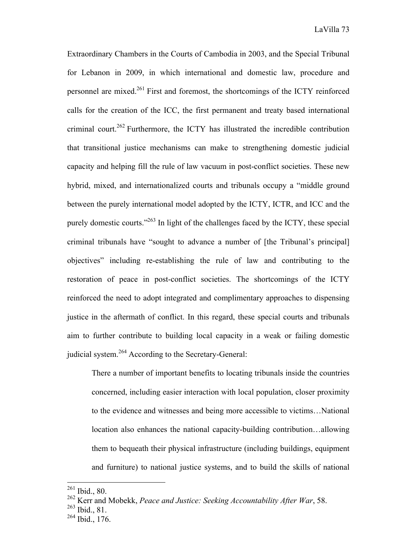Extraordinary Chambers in the Courts of Cambodia in 2003, and the Special Tribunal for Lebanon in 2009, in which international and domestic law, procedure and personnel are mixed.261 First and foremost, the shortcomings of the ICTY reinforced calls for the creation of the ICC, the first permanent and treaty based international criminal court.<sup>262</sup> Furthermore, the ICTY has illustrated the incredible contribution that transitional justice mechanisms can make to strengthening domestic judicial capacity and helping fill the rule of law vacuum in post-conflict societies. These new hybrid, mixed, and internationalized courts and tribunals occupy a "middle ground between the purely international model adopted by the ICTY, ICTR, and ICC and the purely domestic courts."263 In light of the challenges faced by the ICTY, these special criminal tribunals have "sought to advance a number of [the Tribunal's principal] objectives" including re-establishing the rule of law and contributing to the restoration of peace in post-conflict societies. The shortcomings of the ICTY reinforced the need to adopt integrated and complimentary approaches to dispensing justice in the aftermath of conflict. In this regard, these special courts and tribunals aim to further contribute to building local capacity in a weak or failing domestic judicial system.<sup>264</sup> According to the Secretary-General:

There a number of important benefits to locating tribunals inside the countries concerned, including easier interaction with local population, closer proximity to the evidence and witnesses and being more accessible to victims…National location also enhances the national capacity-building contribution…allowing them to bequeath their physical infrastructure (including buildings, equipment and furniture) to national justice systems, and to build the skills of national

 <sup>261</sup> Ibid., 80.

<sup>262</sup> Kerr and Mobekk, *Peace and Justice: Seeking Accountability After War*, 58.

<sup>263</sup> Ibid., 81.

 $^{264}$  Ibid., 176.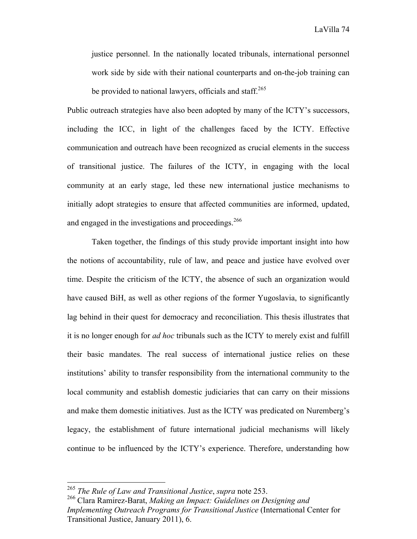LaVilla 74

justice personnel. In the nationally located tribunals, international personnel work side by side with their national counterparts and on-the-job training can be provided to national lawyers, officials and staff.<sup>265</sup>

Public outreach strategies have also been adopted by many of the ICTY's successors, including the ICC, in light of the challenges faced by the ICTY. Effective communication and outreach have been recognized as crucial elements in the success of transitional justice. The failures of the ICTY, in engaging with the local community at an early stage, led these new international justice mechanisms to initially adopt strategies to ensure that affected communities are informed, updated, and engaged in the investigations and proceedings.<sup>266</sup>

Taken together, the findings of this study provide important insight into how the notions of accountability, rule of law, and peace and justice have evolved over time. Despite the criticism of the ICTY, the absence of such an organization would have caused BiH, as well as other regions of the former Yugoslavia, to significantly lag behind in their quest for democracy and reconciliation. This thesis illustrates that it is no longer enough for *ad hoc* tribunals such as the ICTY to merely exist and fulfill their basic mandates. The real success of international justice relies on these institutions' ability to transfer responsibility from the international community to the local community and establish domestic judiciaries that can carry on their missions and make them domestic initiatives. Just as the ICTY was predicated on Nuremberg's legacy, the establishment of future international judicial mechanisms will likely continue to be influenced by the ICTY's experience. Therefore, understanding how

 <sup>265</sup> *The Rule of Law and Transitional Justice*, *supra* note 253.

<sup>266</sup> Clara Ramirez-Barat, *Making an Impact: Guidelines on Designing and Implementing Outreach Programs for Transitional Justice* (International Center for Transitional Justice, January 2011), 6.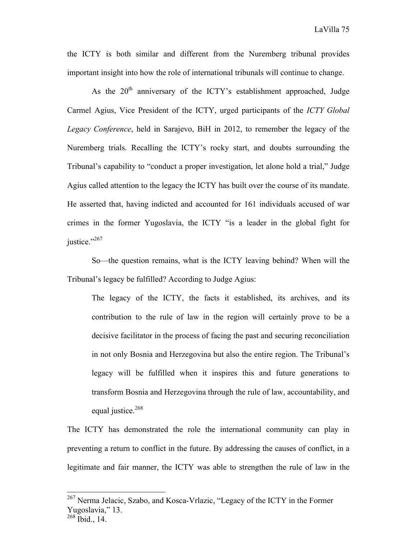the ICTY is both similar and different from the Nuremberg tribunal provides important insight into how the role of international tribunals will continue to change.

As the  $20<sup>th</sup>$  anniversary of the ICTY's establishment approached, Judge Carmel Agius, Vice President of the ICTY, urged participants of the *ICTY Global Legacy Conference*, held in Sarajevo, BiH in 2012, to remember the legacy of the Nuremberg trials. Recalling the ICTY's rocky start, and doubts surrounding the Tribunal's capability to "conduct a proper investigation, let alone hold a trial," Judge Agius called attention to the legacy the ICTY has built over the course of its mandate. He asserted that, having indicted and accounted for 161 individuals accused of war crimes in the former Yugoslavia, the ICTY "is a leader in the global fight for justice."267

So—the question remains, what is the ICTY leaving behind? When will the Tribunal's legacy be fulfilled? According to Judge Agius:

The legacy of the ICTY, the facts it established, its archives, and its contribution to the rule of law in the region will certainly prove to be a decisive facilitator in the process of facing the past and securing reconciliation in not only Bosnia and Herzegovina but also the entire region. The Tribunal's legacy will be fulfilled when it inspires this and future generations to transform Bosnia and Herzegovina through the rule of law, accountability, and equal justice. $268$ 

The ICTY has demonstrated the role the international community can play in preventing a return to conflict in the future. By addressing the causes of conflict, in a legitimate and fair manner, the ICTY was able to strengthen the rule of law in the

 <sup>267</sup> Nerma Jelacic, Szabo, and Kosca-Vrlazic, "Legacy of the ICTY in the Former Yugoslavia," 13.

 $^{268}$  Ibid., 14.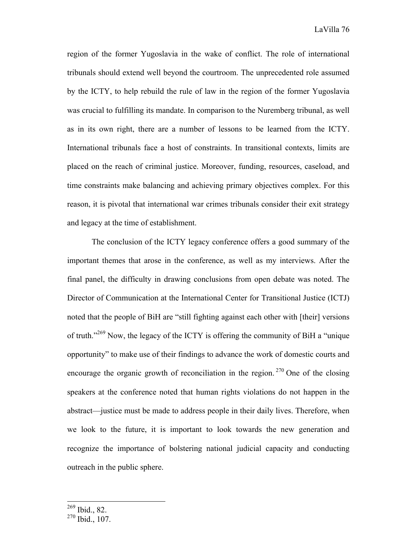region of the former Yugoslavia in the wake of conflict. The role of international tribunals should extend well beyond the courtroom. The unprecedented role assumed by the ICTY, to help rebuild the rule of law in the region of the former Yugoslavia was crucial to fulfilling its mandate. In comparison to the Nuremberg tribunal, as well as in its own right, there are a number of lessons to be learned from the ICTY. International tribunals face a host of constraints. In transitional contexts, limits are placed on the reach of criminal justice. Moreover, funding, resources, caseload, and time constraints make balancing and achieving primary objectives complex. For this reason, it is pivotal that international war crimes tribunals consider their exit strategy and legacy at the time of establishment.

The conclusion of the ICTY legacy conference offers a good summary of the important themes that arose in the conference, as well as my interviews. After the final panel, the difficulty in drawing conclusions from open debate was noted. The Director of Communication at the International Center for Transitional Justice (ICTJ) noted that the people of BiH are "still fighting against each other with [their] versions of truth."269 Now, the legacy of the ICTY is offering the community of BiH a "unique opportunity" to make use of their findings to advance the work of domestic courts and encourage the organic growth of reconciliation in the region.  $270$  One of the closing speakers at the conference noted that human rights violations do not happen in the abstract—justice must be made to address people in their daily lives. Therefore, when we look to the future, it is important to look towards the new generation and recognize the importance of bolstering national judicial capacity and conducting outreach in the public sphere.

 <sup>269</sup> Ibid., 82.

 $270$  Ibid., 107.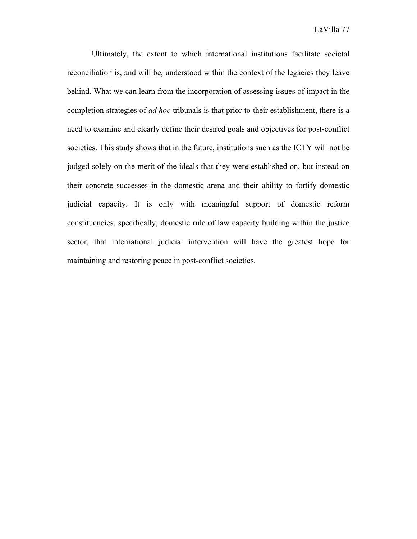Ultimately, the extent to which international institutions facilitate societal reconciliation is, and will be, understood within the context of the legacies they leave behind. What we can learn from the incorporation of assessing issues of impact in the completion strategies of *ad hoc* tribunals is that prior to their establishment, there is a need to examine and clearly define their desired goals and objectives for post-conflict societies. This study shows that in the future, institutions such as the ICTY will not be judged solely on the merit of the ideals that they were established on, but instead on their concrete successes in the domestic arena and their ability to fortify domestic judicial capacity. It is only with meaningful support of domestic reform constituencies, specifically, domestic rule of law capacity building within the justice sector, that international judicial intervention will have the greatest hope for maintaining and restoring peace in post-conflict societies.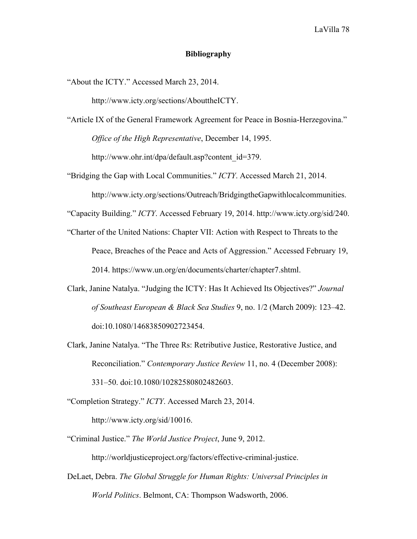## **Bibliography**

"About the ICTY." Accessed March 23, 2014.

http://www.icty.org/sections/AbouttheICTY.

- "Article IX of the General Framework Agreement for Peace in Bosnia-Herzegovina." *Office of the High Representative*, December 14, 1995. http://www.ohr.int/dpa/default.asp?content\_id=379.
- "Bridging the Gap with Local Communities." *ICTY*. Accessed March 21, 2014. http://www.icty.org/sections/Outreach/BridgingtheGapwithlocalcommunities.

"Capacity Building." *ICTY*. Accessed February 19, 2014. http://www.icty.org/sid/240.

- "Charter of the United Nations: Chapter VII: Action with Respect to Threats to the Peace, Breaches of the Peace and Acts of Aggression." Accessed February 19, 2014. https://www.un.org/en/documents/charter/chapter7.shtml.
- Clark, Janine Natalya. "Judging the ICTY: Has It Achieved Its Objectives?" *Journal of Southeast European & Black Sea Studies* 9, no. 1/2 (March 2009): 123–42. doi:10.1080/14683850902723454.
- Clark, Janine Natalya. "The Three Rs: Retributive Justice, Restorative Justice, and Reconciliation." *Contemporary Justice Review* 11, no. 4 (December 2008): 331–50. doi:10.1080/10282580802482603.

"Completion Strategy." *ICTY*. Accessed March 23, 2014. http://www.icty.org/sid/10016.

- "Criminal Justice." *The World Justice Project*, June 9, 2012. http://worldjusticeproject.org/factors/effective-criminal-justice.
- DeLaet, Debra. *The Global Struggle for Human Rights: Universal Principles in World Politics*. Belmont, CA: Thompson Wadsworth, 2006.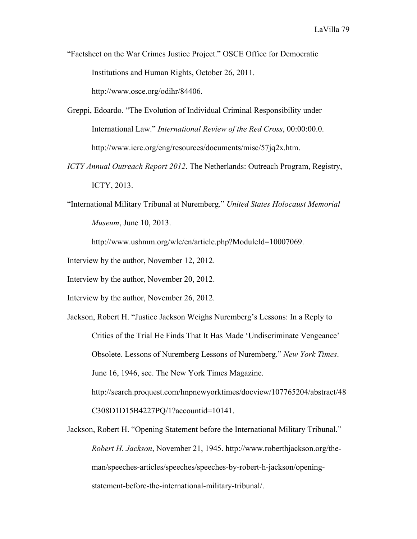"Factsheet on the War Crimes Justice Project." OSCE Office for Democratic Institutions and Human Rights, October 26, 2011. http://www.osce.org/odihr/84406.

Greppi, Edoardo. "The Evolution of Individual Criminal Responsibility under International Law." *International Review of the Red Cross*, 00:00:00.0. http://www.icrc.org/eng/resources/documents/misc/57jq2x.htm.

*ICTY Annual Outreach Report 2012*. The Netherlands: Outreach Program, Registry, ICTY, 2013.

"International Military Tribunal at Nuremberg." *United States Holocaust Memorial Museum*, June 10, 2013.

http://www.ushmm.org/wlc/en/article.php?ModuleId=10007069.

Interview by the author, November 12, 2012.

Interview by the author, November 20, 2012.

Interview by the author, November 26, 2012.

Jackson, Robert H. "Justice Jackson Weighs Nuremberg's Lessons: In a Reply to Critics of the Trial He Finds That It Has Made 'Undiscriminate Vengeance' Obsolete. Lessons of Nuremberg Lessons of Nuremberg." *New York Times*. June 16, 1946, sec. The New York Times Magazine. http://search.proquest.com/hnpnewyorktimes/docview/107765204/abstract/48 C308D1D15B4227PQ/1?accountid=10141.

Jackson, Robert H. "Opening Statement before the International Military Tribunal." *Robert H. Jackson*, November 21, 1945. http://www.roberthjackson.org/theman/speeches-articles/speeches/speeches-by-robert-h-jackson/openingstatement-before-the-international-military-tribunal/.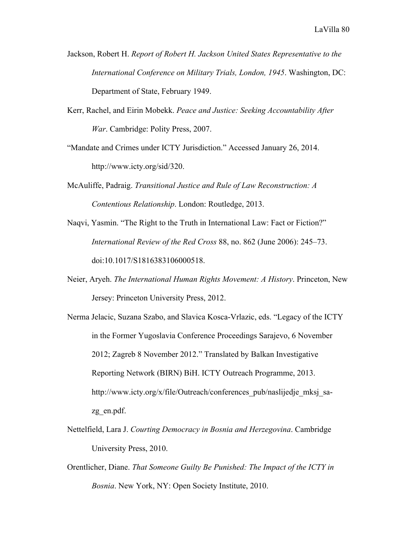- Jackson, Robert H. *Report of Robert H. Jackson United States Representative to the International Conference on Military Trials, London, 1945*. Washington, DC: Department of State, February 1949.
- Kerr, Rachel, and Eirin Mobekk. *Peace and Justice: Seeking Accountability After War*. Cambridge: Polity Press, 2007.
- "Mandate and Crimes under ICTY Jurisdiction." Accessed January 26, 2014. http://www.icty.org/sid/320.
- McAuliffe, Padraig. *Transitional Justice and Rule of Law Reconstruction: A Contentious Relationship*. London: Routledge, 2013.
- Naqvi, Yasmin. "The Right to the Truth in International Law: Fact or Fiction?" *International Review of the Red Cross* 88, no. 862 (June 2006): 245–73. doi:10.1017/S1816383106000518.
- Neier, Aryeh. *The International Human Rights Movement: A History*. Princeton, New Jersey: Princeton University Press, 2012.
- Nerma Jelacic, Suzana Szabo, and Slavica Kosca-Vrlazic, eds. "Legacy of the ICTY in the Former Yugoslavia Conference Proceedings Sarajevo, 6 November 2012; Zagreb 8 November 2012." Translated by Balkan Investigative Reporting Network (BIRN) BiH. ICTY Outreach Programme, 2013. http://www.icty.org/x/file/Outreach/conferences\_pub/naslijedje\_mksj\_sazg\_en.pdf.
- Nettelfield, Lara J. *Courting Democracy in Bosnia and Herzegovina*. Cambridge University Press, 2010.
- Orentlicher, Diane. *That Someone Guilty Be Punished: The Impact of the ICTY in Bosnia*. New York, NY: Open Society Institute, 2010.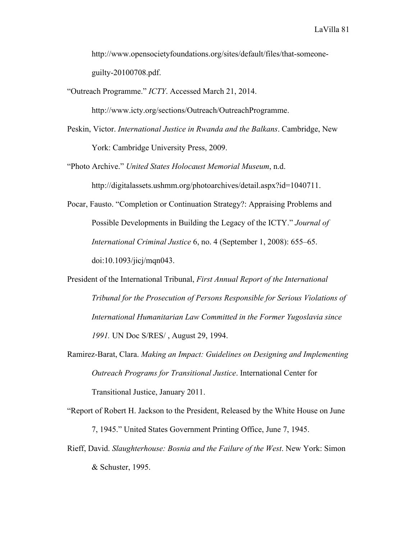http://www.opensocietyfoundations.org/sites/default/files/that-someoneguilty-20100708.pdf.

"Outreach Programme." *ICTY*. Accessed March 21, 2014.

http://www.icty.org/sections/Outreach/OutreachProgramme.

- Peskin, Victor. *International Justice in Rwanda and the Balkans*. Cambridge, New York: Cambridge University Press, 2009.
- "Photo Archive." *United States Holocaust Memorial Museum*, n.d. http://digitalassets.ushmm.org/photoarchives/detail.aspx?id=1040711.
- Pocar, Fausto. "Completion or Continuation Strategy?: Appraising Problems and Possible Developments in Building the Legacy of the ICTY." *Journal of International Criminal Justice* 6, no. 4 (September 1, 2008): 655–65. doi:10.1093/jicj/mqn043.
- President of the International Tribunal, *First Annual Report of the International Tribunal for the Prosecution of Persons Responsible for Serious Violations of International Humanitarian Law Committed in the Former Yugoslavia since 1991.* UN Doc S/RES/ , August 29, 1994.
- Ramirez-Barat, Clara. *Making an Impact: Guidelines on Designing and Implementing Outreach Programs for Transitional Justice*. International Center for Transitional Justice, January 2011.
- "Report of Robert H. Jackson to the President, Released by the White House on June 7, 1945." United States Government Printing Office, June 7, 1945.
- Rieff, David. *Slaughterhouse: Bosnia and the Failure of the West*. New York: Simon & Schuster, 1995.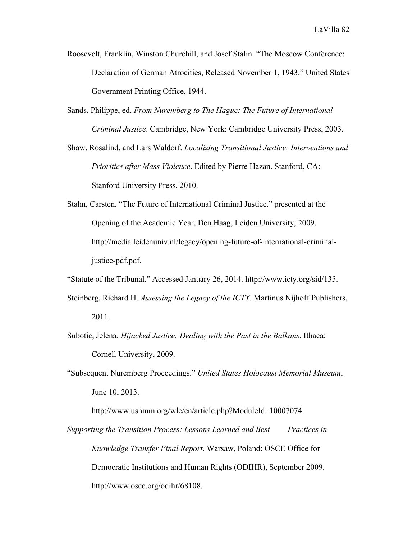- Roosevelt, Franklin, Winston Churchill, and Josef Stalin. "The Moscow Conference: Declaration of German Atrocities, Released November 1, 1943." United States Government Printing Office, 1944.
- Sands, Philippe, ed. *From Nuremberg to The Hague: The Future of International Criminal Justice*. Cambridge, New York: Cambridge University Press, 2003.

Shaw, Rosalind, and Lars Waldorf. *Localizing Transitional Justice: Interventions and Priorities after Mass Violence*. Edited by Pierre Hazan. Stanford, CA: Stanford University Press, 2010.

Stahn, Carsten. "The Future of International Criminal Justice." presented at the Opening of the Academic Year, Den Haag, Leiden University, 2009. http://media.leidenuniv.nl/legacy/opening-future-of-international-criminaljustice-pdf.pdf.

"Statute of the Tribunal." Accessed January 26, 2014. http://www.icty.org/sid/135.

- Steinberg, Richard H. *Assessing the Legacy of the ICTY*. Martinus Nijhoff Publishers, 2011.
- Subotic, Jelena. *Hijacked Justice: Dealing with the Past in the Balkans*. Ithaca: Cornell University, 2009.
- "Subsequent Nuremberg Proceedings." *United States Holocaust Memorial Museum*, June 10, 2013.

http://www.ushmm.org/wlc/en/article.php?ModuleId=10007074.

*Supporting the Transition Process: Lessons Learned and Best Practices in Knowledge Transfer Final Report*. Warsaw, Poland: OSCE Office for Democratic Institutions and Human Rights (ODIHR), September 2009. http://www.osce.org/odihr/68108.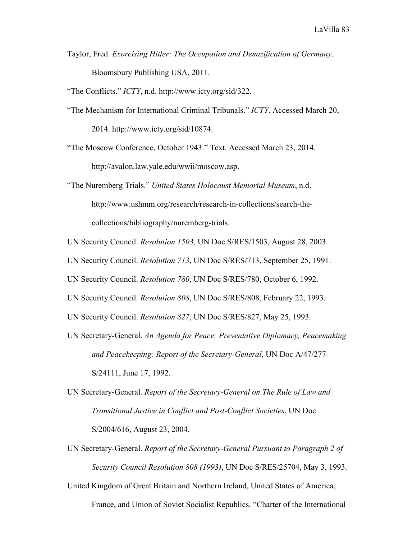- Taylor, Fred. *Exorcising Hitler: The Occupation and Denazification of Germany*. Bloomsbury Publishing USA, 2011.
- "The Conflicts." *ICTY*, n.d. http://www.icty.org/sid/322.
- "The Mechanism for International Criminal Tribunals." *ICTY*. Accessed March 20, 2014. http://www.icty.org/sid/10874.

"The Moscow Conference, October 1943." Text. Accessed March 23, 2014. http://avalon.law.yale.edu/wwii/moscow.asp.

"The Nuremberg Trials." *United States Holocaust Memorial Museum*, n.d. http://www.ushmm.org/research/research-in-collections/search-thecollections/bibliography/nuremberg-trials.

- UN Security Council. *Resolution 1503,* UN Doc S/RES/1503, August 28, 2003.
- UN Security Council. *Resolution 713*, UN Doc S/RES/713, September 25, 1991.

UN Security Council. *Resolution 780*, UN Doc S/RES/780, October 6, 1992.

- UN Security Council. *Resolution 808*, UN Doc S/RES/808, February 22, 1993.
- UN Security Council. *Resolution 827*, UN Doc S/RES/827, May 25, 1993.
- UN Secretary-General. *An Agenda for Peace: Preventative Diplomacy, Peacemaking and Peacekeeping: Report of the Secretary-General*, UN Doc A/47/277- S/24111, June 17, 1992.
- UN Secretary-General. *Report of the Secretary-General on The Rule of Law and Transitional Justice in Conflict and Post-Conflict Societies*, UN Doc S/2004/616, August 23, 2004.
- UN Secretary-General. *Report of the Secretary-General Pursuant to Paragraph 2 of Security Council Resolution 808 (1993)*, UN Doc S/RES/25704, May 3, 1993.

United Kingdom of Great Britain and Northern Ireland, United States of America, France, and Union of Soviet Socialist Republics. "Charter of the International